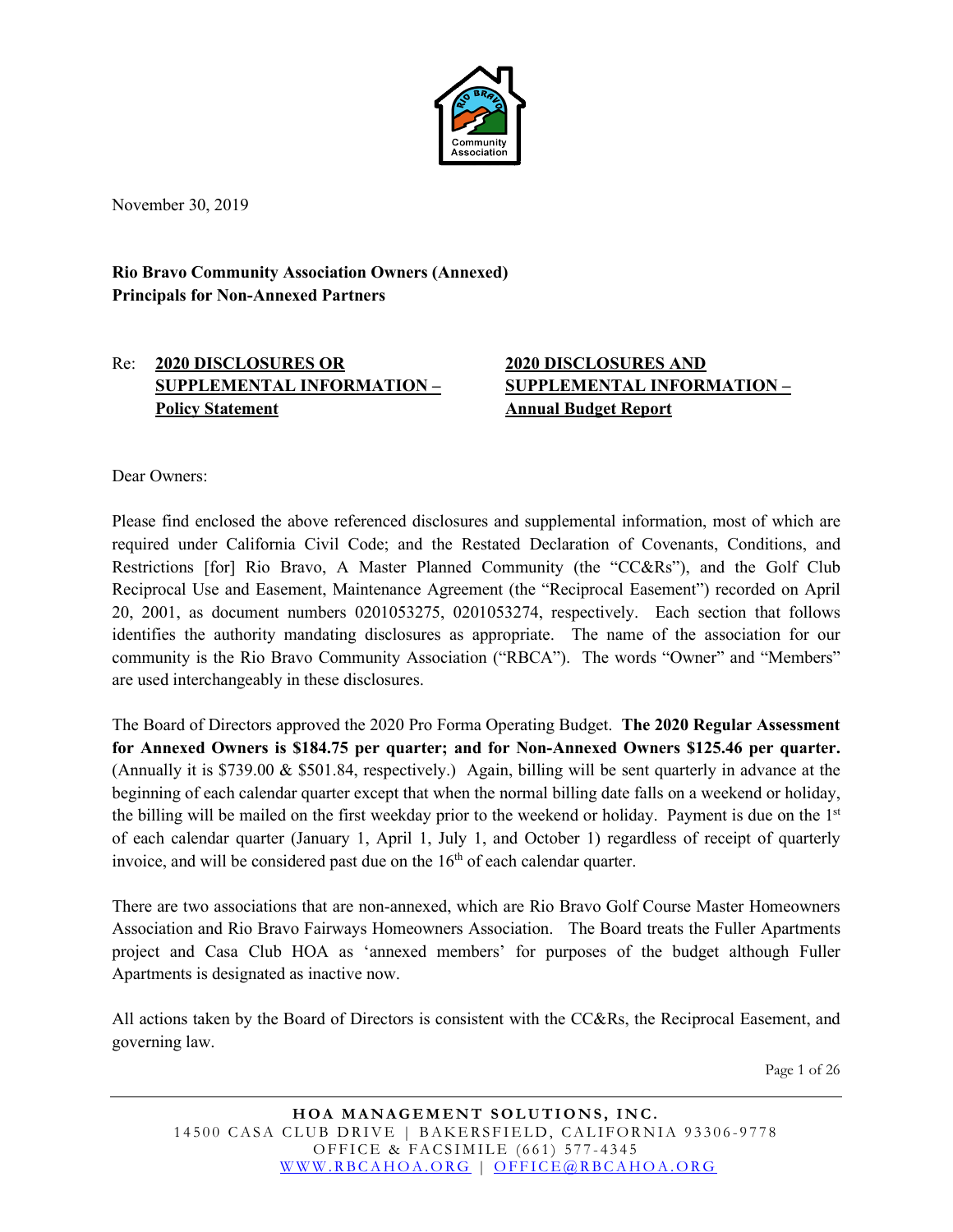

November 30, 2019

**Rio Bravo Community Association Owners (Annexed) Principals for Non-Annexed Partners**

#### Re: **2020 DISCLOSURES OR SUPPLEMENTAL INFORMATION – Policy Statement**

#### **2020 DISCLOSURES AND SUPPLEMENTAL INFORMATION – Annual Budget Report**

Dear Owners:

Please find enclosed the above referenced disclosures and supplemental information, most of which are required under California Civil Code; and the Restated Declaration of Covenants, Conditions, and Restrictions [for] Rio Bravo, A Master Planned Community (the "CC&Rs"), and the Golf Club Reciprocal Use and Easement, Maintenance Agreement (the "Reciprocal Easement") recorded on April 20, 2001, as document numbers 0201053275, 0201053274, respectively. Each section that follows identifies the authority mandating disclosures as appropriate. The name of the association for our community is the Rio Bravo Community Association ("RBCA"). The words "Owner" and "Members" are used interchangeably in these disclosures.

The Board of Directors approved the 2020 Pro Forma Operating Budget. **The 2020 Regular Assessment for Annexed Owners is \$184.75 per quarter; and for Non-Annexed Owners \$125.46 per quarter.** (Annually it is \$739.00 & \$501.84, respectively.) Again, billing will be sent quarterly in advance at the beginning of each calendar quarter except that when the normal billing date falls on a weekend or holiday, the billing will be mailed on the first weekday prior to the weekend or holiday. Payment is due on the  $1<sup>st</sup>$ of each calendar quarter (January 1, April 1, July 1, and October 1) regardless of receipt of quarterly invoice, and will be considered past due on the  $16<sup>th</sup>$  of each calendar quarter.

There are two associations that are non-annexed, which are Rio Bravo Golf Course Master Homeowners Association and Rio Bravo Fairways Homeowners Association. The Board treats the Fuller Apartments project and Casa Club HOA as 'annexed members' for purposes of the budget although Fuller Apartments is designated as inactive now.

All actions taken by the Board of Directors is consistent with the CC&Rs, the Reciprocal Easement, and governing law.

Page 1 of 26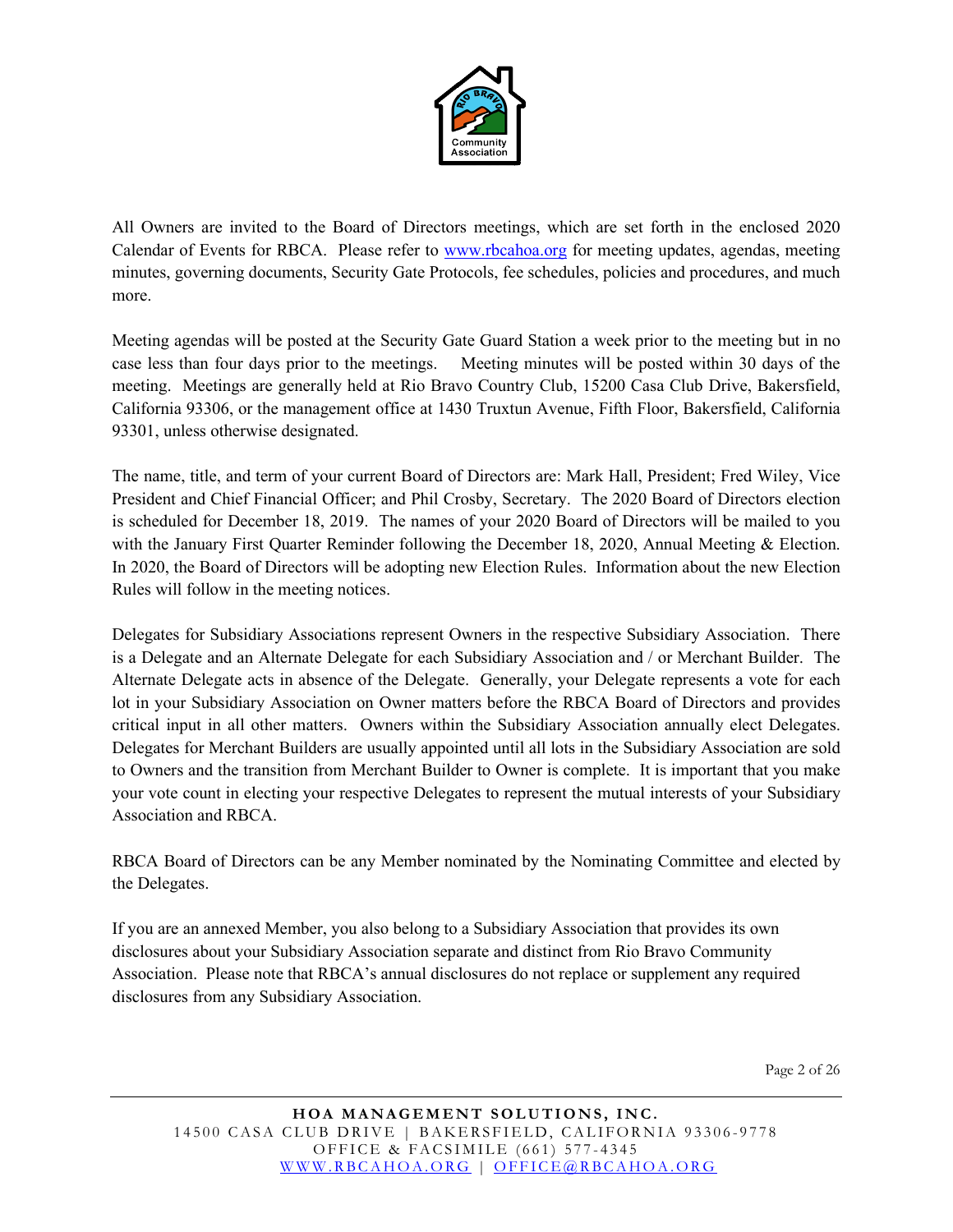

All Owners are invited to the Board of Directors meetings, which are set forth in the enclosed 2020 Calendar of Events for RBCA. Please refer to [www.rbcahoa.org](http://www.rbcahoa.org/) for meeting updates, agendas, meeting minutes, governing documents, Security Gate Protocols, fee schedules, policies and procedures, and much more.

Meeting agendas will be posted at the Security Gate Guard Station a week prior to the meeting but in no case less than four days prior to the meetings. Meeting minutes will be posted within 30 days of the meeting. Meetings are generally held at Rio Bravo Country Club, 15200 Casa Club Drive, Bakersfield, California 93306, or the management office at 1430 Truxtun Avenue, Fifth Floor, Bakersfield, California 93301, unless otherwise designated.

The name, title, and term of your current Board of Directors are: Mark Hall, President; Fred Wiley, Vice President and Chief Financial Officer; and Phil Crosby, Secretary. The 2020 Board of Directors election is scheduled for December 18, 2019. The names of your 2020 Board of Directors will be mailed to you with the January First Quarter Reminder following the December 18, 2020, Annual Meeting & Election. In 2020, the Board of Directors will be adopting new Election Rules. Information about the new Election Rules will follow in the meeting notices.

Delegates for Subsidiary Associations represent Owners in the respective Subsidiary Association. There is a Delegate and an Alternate Delegate for each Subsidiary Association and / or Merchant Builder. The Alternate Delegate acts in absence of the Delegate. Generally, your Delegate represents a vote for each lot in your Subsidiary Association on Owner matters before the RBCA Board of Directors and provides critical input in all other matters. Owners within the Subsidiary Association annually elect Delegates. Delegates for Merchant Builders are usually appointed until all lots in the Subsidiary Association are sold to Owners and the transition from Merchant Builder to Owner is complete. It is important that you make your vote count in electing your respective Delegates to represent the mutual interests of your Subsidiary Association and RBCA.

RBCA Board of Directors can be any Member nominated by the Nominating Committee and elected by the Delegates.

If you are an annexed Member, you also belong to a Subsidiary Association that provides its own disclosures about your Subsidiary Association separate and distinct from Rio Bravo Community Association. Please note that RBCA's annual disclosures do not replace or supplement any required disclosures from any Subsidiary Association.

Page 2 of 26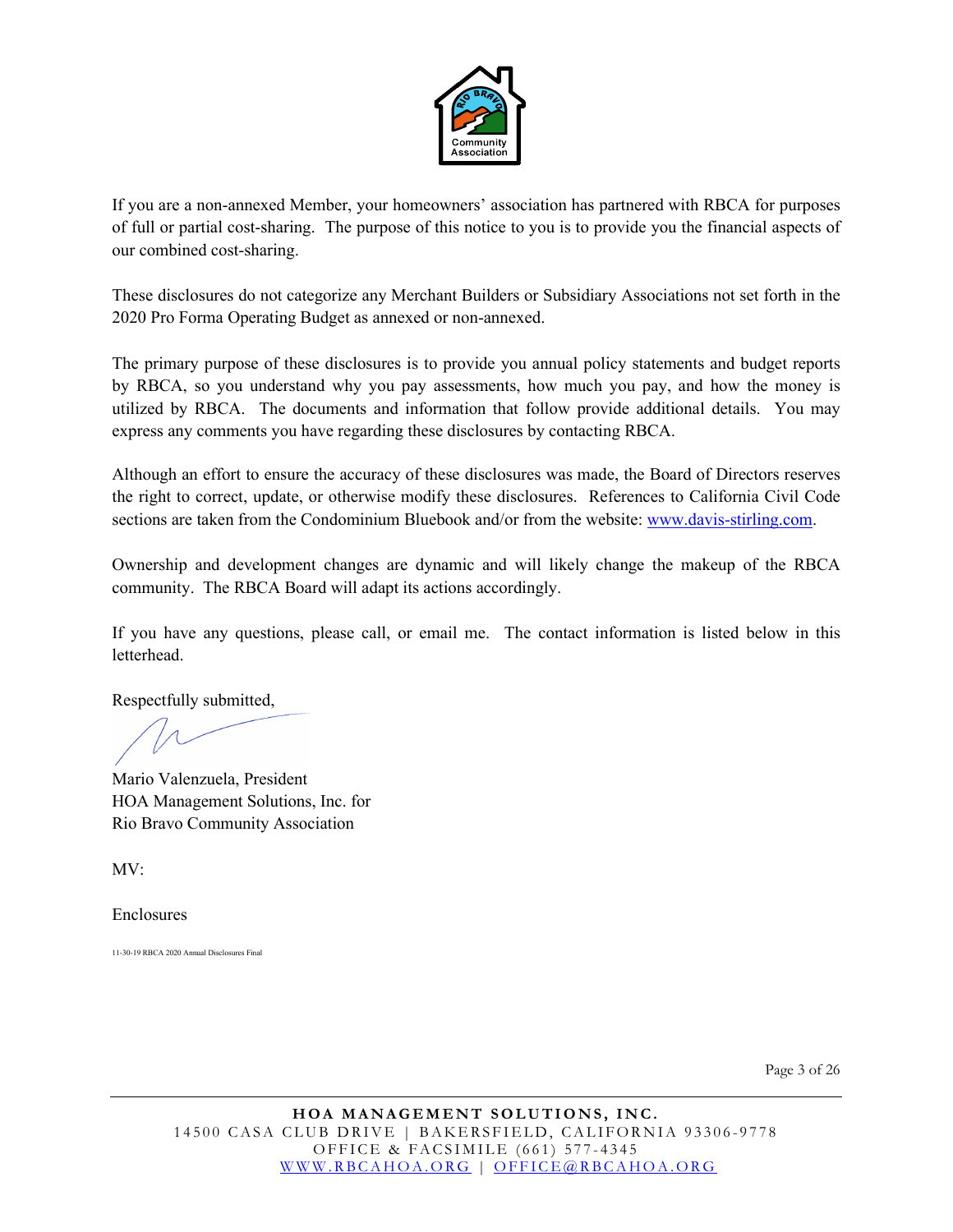

If you are a non-annexed Member, your homeowners' association has partnered with RBCA for purposes of full or partial cost-sharing. The purpose of this notice to you is to provide you the financial aspects of our combined cost-sharing.

These disclosures do not categorize any Merchant Builders or Subsidiary Associations not set forth in the 2020 Pro Forma Operating Budget as annexed or non-annexed.

The primary purpose of these disclosures is to provide you annual policy statements and budget reports by RBCA, so you understand why you pay assessments, how much you pay, and how the money is utilized by RBCA. The documents and information that follow provide additional details. You may express any comments you have regarding these disclosures by contacting RBCA.

Although an effort to ensure the accuracy of these disclosures was made, the Board of Directors reserves the right to correct, update, or otherwise modify these disclosures. References to California Civil Code sections are taken from the Condominium Bluebook and/or from the website[: www.davis-stirling.com.](http://www.davis-stirling.com/)

Ownership and development changes are dynamic and will likely change the makeup of the RBCA community. The RBCA Board will adapt its actions accordingly.

If you have any questions, please call, or email me. The contact information is listed below in this letterhead.

Respectfully submitted,

Mario Valenzuela, President HOA Management Solutions, Inc. for Rio Bravo Community Association

MV:

Enclosures

11-30-19 RBCA 2020 Annual Disclosures Final

Page 3 of 26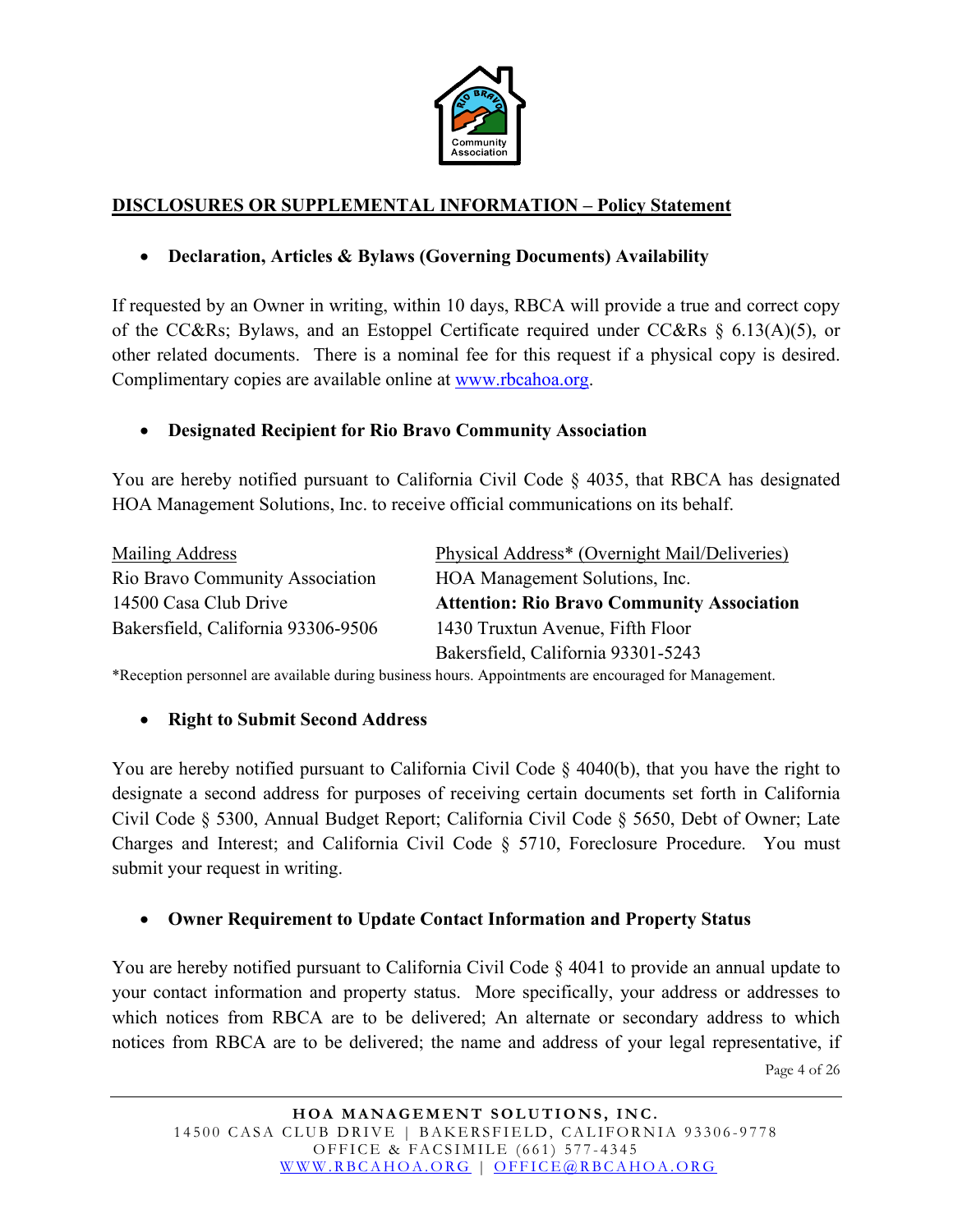

### **DISCLOSURES OR SUPPLEMENTAL INFORMATION – Policy Statement**

### • **Declaration, Articles & Bylaws (Governing Documents) Availability**

If requested by an Owner in writing, within 10 days, RBCA will provide a true and correct copy of the CC&Rs; Bylaws, and an Estoppel Certificate required under CC&Rs § 6.13(A)(5), or other related documents. There is a nominal fee for this request if a physical copy is desired. Complimentary copies are available online at [www.rbcahoa.org.](http://www.rbcahoa.org/)

#### • **Designated Recipient for Rio Bravo Community Association**

You are hereby notified pursuant to California Civil Code § 4035, that RBCA has designated HOA Management Solutions, Inc. to receive official communications on its behalf.

| Mailing Address                    | Physical Address* (Overnight Mail/Deliveries)     |
|------------------------------------|---------------------------------------------------|
| Rio Bravo Community Association    | HOA Management Solutions, Inc.                    |
| 14500 Casa Club Drive              | <b>Attention: Rio Bravo Community Association</b> |
| Bakersfield, California 93306-9506 | 1430 Truxtun Avenue, Fifth Floor                  |
|                                    | Bakersfield, California 93301-5243                |

\*Reception personnel are available during business hours. Appointments are encouraged for Management.

#### • **Right to Submit Second Address**

You are hereby notified pursuant to California Civil Code § 4040(b), that you have the right to designate a second address for purposes of receiving certain documents set forth in California Civil Code § 5300, Annual Budget Report; California Civil Code § 5650, Debt of Owner; Late Charges and Interest; and California Civil Code § 5710, Foreclosure Procedure. You must submit your request in writing.

#### • **Owner Requirement to Update Contact Information and Property Status**

You are hereby notified pursuant to California Civil Code  $\S$  4041 to provide an annual update to your contact information and property status. More specifically, your address or addresses to which notices from RBCA are to be delivered; An alternate or secondary address to which notices from RBCA are to be delivered; the name and address of your legal representative, if

Page 4 of 26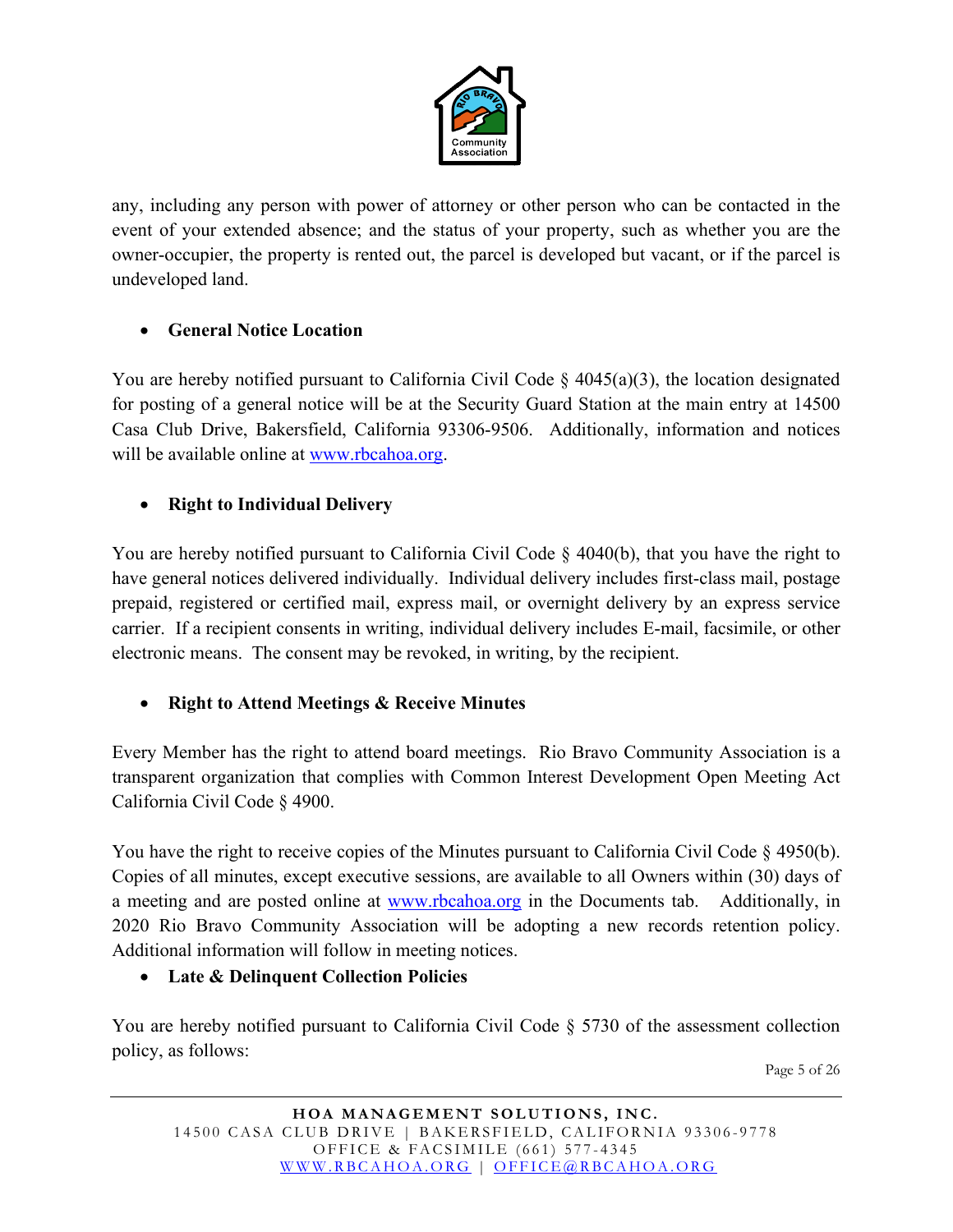

any, including any person with power of attorney or other person who can be contacted in the event of your extended absence; and the status of your property, such as whether you are the owner-occupier, the property is rented out, the parcel is developed but vacant, or if the parcel is undeveloped land.

# • **General Notice Location**

You are hereby notified pursuant to California Civil Code  $\S$  4045(a)(3), the location designated for posting of a general notice will be at the Security Guard Station at the main entry at 14500 Casa Club Drive, Bakersfield, California 93306-9506. Additionally, information and notices will be available online at [www.rbcahoa.org.](http://www.rbcahoa.org/)

# • **Right to Individual Delivery**

You are hereby notified pursuant to California Civil Code § 4040(b), that you have the right to have general notices delivered individually. Individual delivery includes first-class mail, postage prepaid, registered or certified mail, express mail, or overnight delivery by an express service carrier. If a recipient consents in writing, individual delivery includes E-mail, facsimile, or other electronic means. The consent may be revoked, in writing, by the recipient.

#### • **Right to Attend Meetings & Receive Minutes**

Every Member has the right to attend board meetings. Rio Bravo Community Association is a transparent organization that complies with Common Interest Development Open Meeting Act California Civil Code § 4900.

You have the right to receive copies of the Minutes pursuant to California Civil Code § 4950(b). Copies of all minutes, except executive sessions, are available to all Owners within (30) days of a meeting and are posted online at [www.rbcahoa.org](http://www.rbcahoa.org/) in the Documents tab. Additionally, in 2020 Rio Bravo Community Association will be adopting a new records retention policy. Additional information will follow in meeting notices.

#### • **Late & Delinquent Collection Policies**

You are hereby notified pursuant to California Civil Code § 5730 of the assessment collection policy, as follows:

Page 5 of 26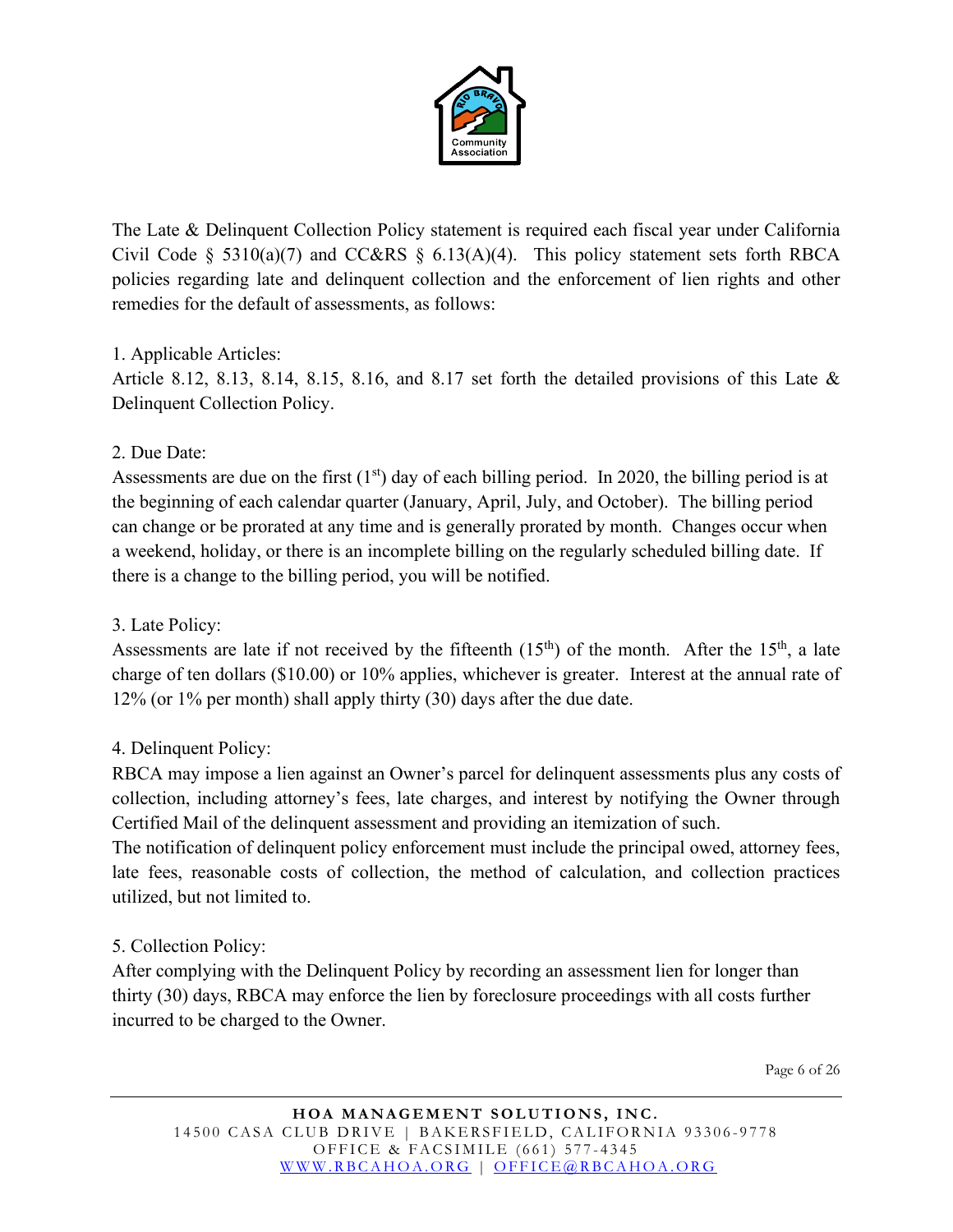

The Late & Delinquent Collection Policy statement is required each fiscal year under California Civil Code § 5310(a)(7) and CC&RS § 6.13(A)(4). This policy statement sets forth RBCA policies regarding late and delinquent collection and the enforcement of lien rights and other remedies for the default of assessments, as follows:

#### 1. Applicable Articles:

Article 8.12, 8.13, 8.14, 8.15, 8.16, and 8.17 set forth the detailed provisions of this Late & Delinquent Collection Policy.

### 2. Due Date:

Assessments are due on the first  $(1<sup>st</sup>)$  day of each billing period. In 2020, the billing period is at the beginning of each calendar quarter (January, April, July, and October). The billing period can change or be prorated at any time and is generally prorated by month. Changes occur when a weekend, holiday, or there is an incomplete billing on the regularly scheduled billing date. If there is a change to the billing period, you will be notified.

## 3. Late Policy:

Assessments are late if not received by the fifteenth  $(15<sup>th</sup>)$  of the month. After the  $15<sup>th</sup>$ , a late charge of ten dollars (\$10.00) or 10% applies, whichever is greater. Interest at the annual rate of 12% (or 1% per month) shall apply thirty (30) days after the due date.

# 4. Delinquent Policy:

RBCA may impose a lien against an Owner's parcel for delinquent assessments plus any costs of collection, including attorney's fees, late charges, and interest by notifying the Owner through Certified Mail of the delinquent assessment and providing an itemization of such.

The notification of delinquent policy enforcement must include the principal owed, attorney fees, late fees, reasonable costs of collection, the method of calculation, and collection practices utilized, but not limited to.

#### 5. Collection Policy:

After complying with the Delinquent Policy by recording an assessment lien for longer than thirty (30) days, RBCA may enforce the lien by foreclosure proceedings with all costs further incurred to be charged to the Owner.

Page 6 of 26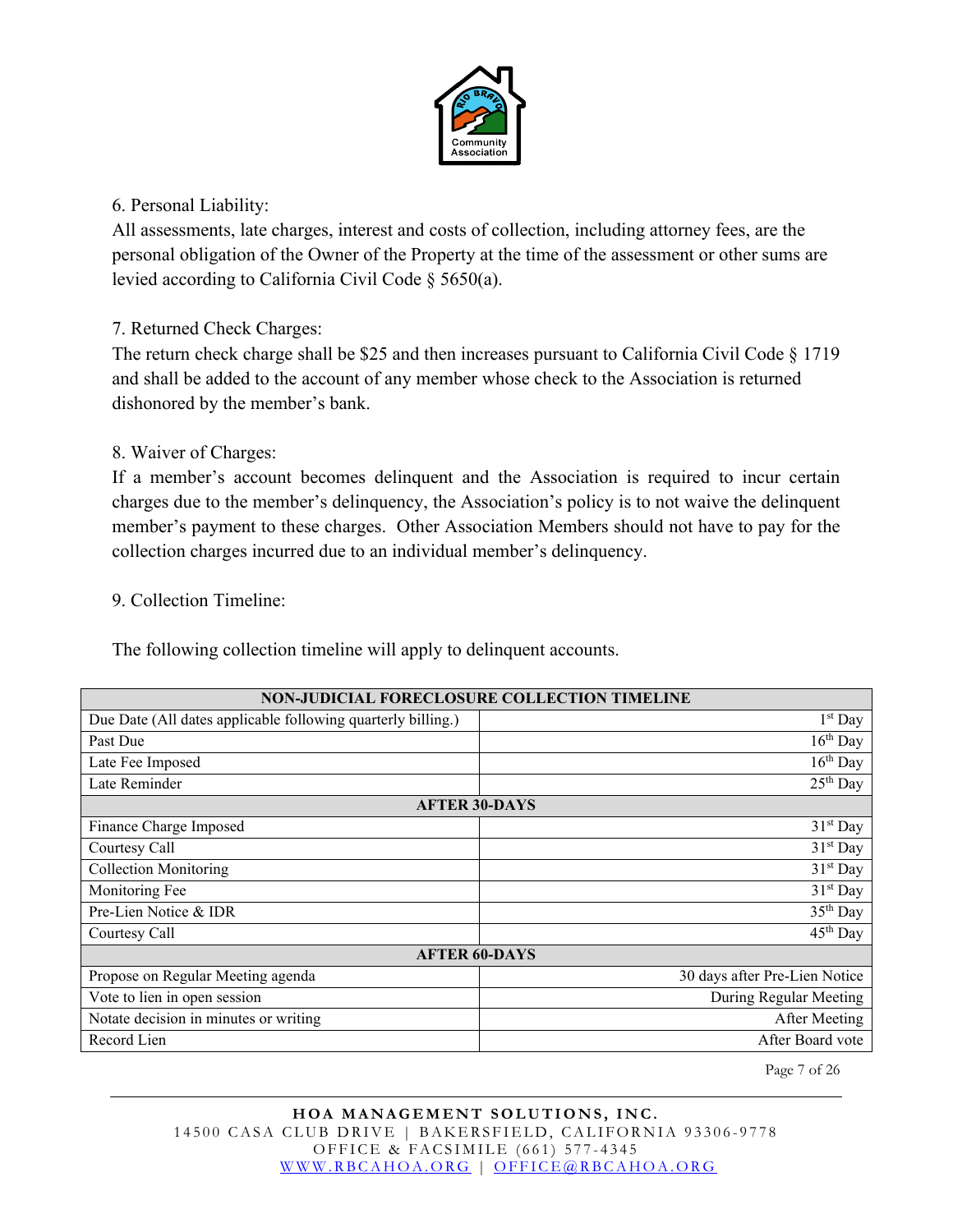

#### 6. Personal Liability:

All assessments, late charges, interest and costs of collection, including attorney fees, are the personal obligation of the Owner of the Property at the time of the assessment or other sums are levied according to California Civil Code § 5650(a).

#### 7. Returned Check Charges:

The return check charge shall be \$25 and then increases pursuant to California Civil Code § 1719 and shall be added to the account of any member whose check to the Association is returned dishonored by the member's bank.

#### 8. Waiver of Charges:

If a member's account becomes delinquent and the Association is required to incur certain charges due to the member's delinquency, the Association's policy is to not waive the delinquent member's payment to these charges. Other Association Members should not have to pay for the collection charges incurred due to an individual member's delinquency.

#### 9. Collection Timeline:

The following collection timeline will apply to delinquent accounts.

| NON-JUDICIAL FORECLOSURE COLLECTION TIMELINE                 |                                 |  |
|--------------------------------------------------------------|---------------------------------|--|
| Due Date (All dates applicable following quarterly billing.) | $1st$ Day                       |  |
| Past Due                                                     | $16th$ Day                      |  |
| Late Fee Imposed                                             | $16th$ Day                      |  |
| Late Reminder                                                | $25th$ Day                      |  |
| <b>AFTER 30-DAYS</b>                                         |                                 |  |
| Finance Charge Imposed                                       | 31 <sup>st</sup> Day            |  |
| Courtesy Call                                                | 31 <sup>st</sup> Day            |  |
| <b>Collection Monitoring</b>                                 | 31 <sup>st</sup> Day            |  |
| Monitoring Fee                                               | 31 <sup>st</sup> Day            |  |
| Pre-Lien Notice & IDR                                        | 35 <sup>th</sup> Day            |  |
| Courtesy Call                                                | $\overline{4}5^{\text{th}}$ Day |  |
| <b>AFTER 60-DAYS</b>                                         |                                 |  |
| Propose on Regular Meeting agenda                            | 30 days after Pre-Lien Notice   |  |
| Vote to lien in open session<br>During Regular Meeting       |                                 |  |
| Notate decision in minutes or writing                        | After Meeting                   |  |
| Record Lien                                                  | After Board vote                |  |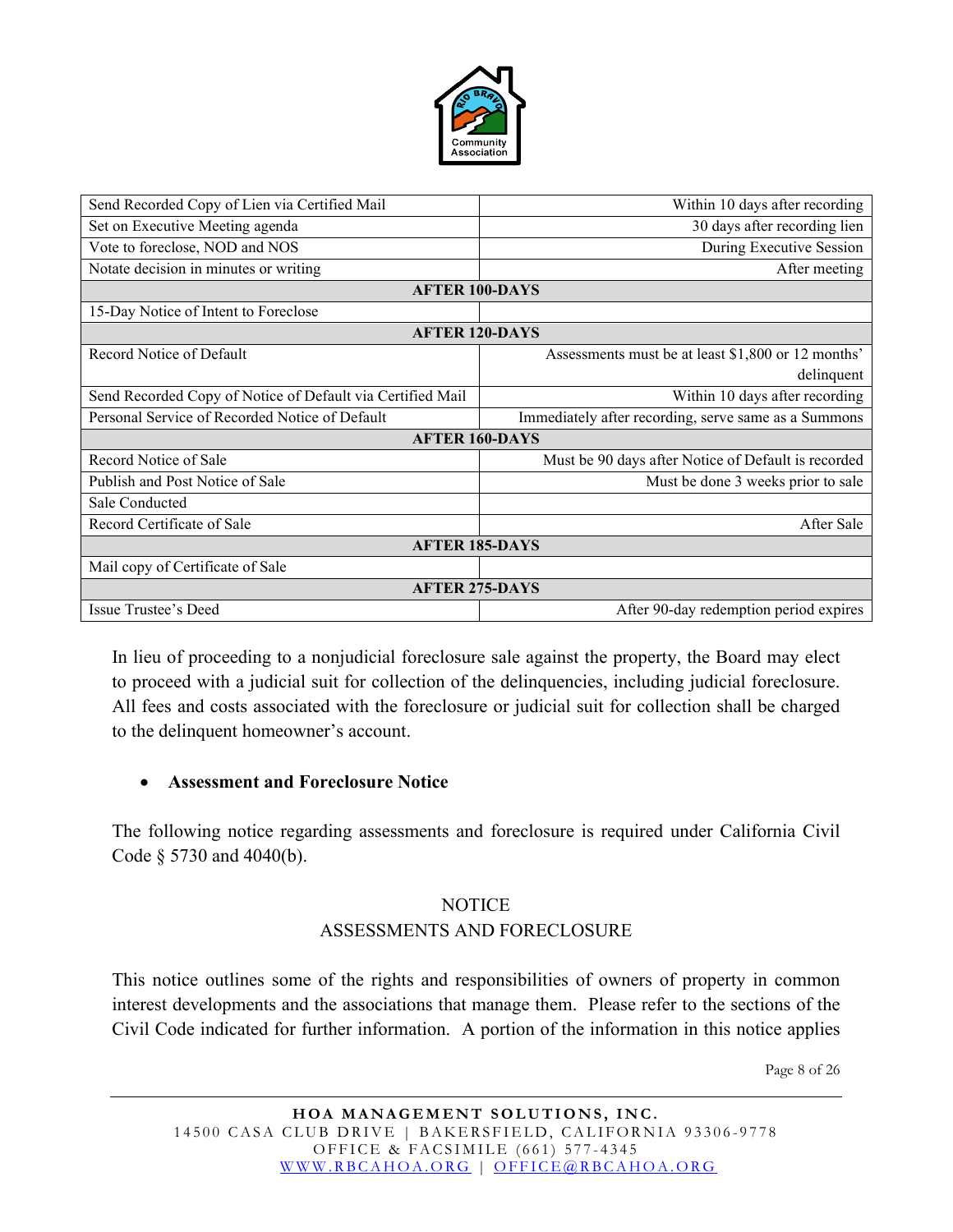

| Send Recorded Copy of Lien via Certified Mail              | Within 10 days after recording                       |  |
|------------------------------------------------------------|------------------------------------------------------|--|
| Set on Executive Meeting agenda                            | 30 days after recording lien                         |  |
| Vote to foreclose, NOD and NOS                             | During Executive Session                             |  |
| Notate decision in minutes or writing                      | After meeting                                        |  |
| <b>AFTER 100-DAYS</b>                                      |                                                      |  |
| 15-Day Notice of Intent to Foreclose                       |                                                      |  |
| <b>AFTER 120-DAYS</b>                                      |                                                      |  |
| Record Notice of Default                                   | Assessments must be at least \$1,800 or 12 months'   |  |
|                                                            | delinquent                                           |  |
| Send Recorded Copy of Notice of Default via Certified Mail | Within 10 days after recording                       |  |
| Personal Service of Recorded Notice of Default             | Immediately after recording, serve same as a Summons |  |
| <b>AFTER 160-DAYS</b>                                      |                                                      |  |
|                                                            |                                                      |  |
| Record Notice of Sale                                      | Must be 90 days after Notice of Default is recorded  |  |
| Publish and Post Notice of Sale                            | Must be done 3 weeks prior to sale                   |  |
| Sale Conducted                                             |                                                      |  |
| Record Certificate of Sale                                 | After Sale                                           |  |
| <b>AFTER 185-DAYS</b>                                      |                                                      |  |
| Mail copy of Certificate of Sale                           |                                                      |  |
| <b>AFTER 275-DAYS</b>                                      |                                                      |  |

In lieu of proceeding to a nonjudicial foreclosure sale against the property, the Board may elect to proceed with a judicial suit for collection of the delinquencies, including judicial foreclosure. All fees and costs associated with the foreclosure or judicial suit for collection shall be charged to the delinquent homeowner's account.

#### • **Assessment and Foreclosure Notice**

The following notice regarding assessments and foreclosure is required under California Civil Code § 5730 and 4040(b).

### **NOTICE** ASSESSMENTS AND FORECLOSURE

This notice outlines some of the rights and responsibilities of owners of property in common interest developments and the associations that manage them. Please refer to the sections of the Civil Code indicated for further information. A portion of the information in this notice applies

Page 8 of 26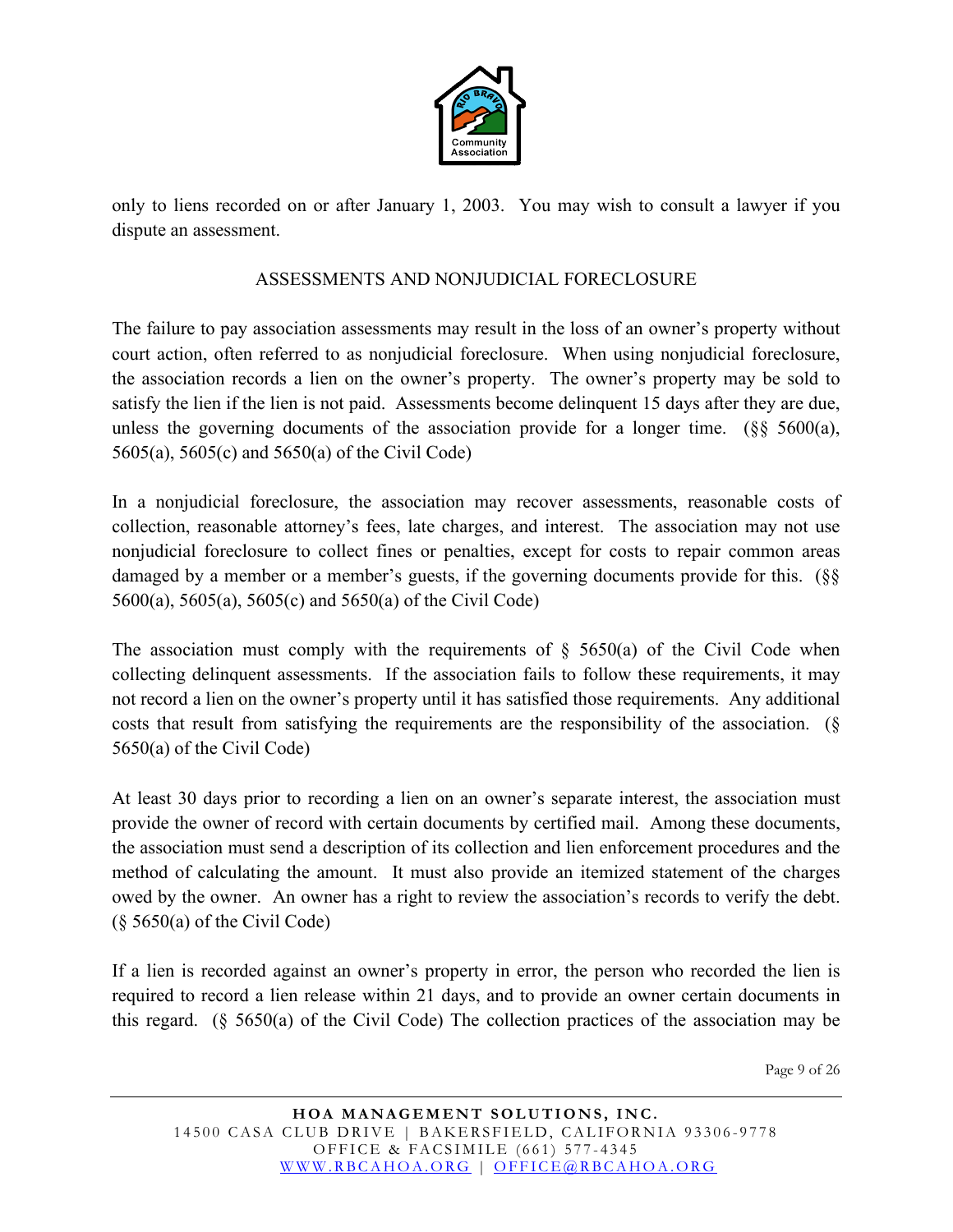

only to liens recorded on or after January 1, 2003. You may wish to consult a lawyer if you dispute an assessment.

#### ASSESSMENTS AND NONJUDICIAL FORECLOSURE

The failure to pay association assessments may result in the loss of an owner's property without court action, often referred to as nonjudicial foreclosure. When using nonjudicial foreclosure, the association records a lien on the owner's property. The owner's property may be sold to satisfy the lien if the lien is not paid. Assessments become delinquent 15 days after they are due, unless the governing documents of the association provide for a longer time.  $(\S_{\S} 5600(a),$ 5605(a), 5605(c) and 5650(a) of the Civil Code)

In a nonjudicial foreclosure, the association may recover assessments, reasonable costs of collection, reasonable attorney's fees, late charges, and interest. The association may not use nonjudicial foreclosure to collect fines or penalties, except for costs to repair common areas damaged by a member or a member's guests, if the governing documents provide for this. (§§ 5600(a), 5605(a), 5605(c) and 5650(a) of the Civil Code)

The association must comply with the requirements of  $\S$  5650(a) of the Civil Code when collecting delinquent assessments. If the association fails to follow these requirements, it may not record a lien on the owner's property until it has satisfied those requirements. Any additional costs that result from satisfying the requirements are the responsibility of the association. (§ 5650(a) of the Civil Code)

At least 30 days prior to recording a lien on an owner's separate interest, the association must provide the owner of record with certain documents by certified mail. Among these documents, the association must send a description of its collection and lien enforcement procedures and the method of calculating the amount. It must also provide an itemized statement of the charges owed by the owner. An owner has a right to review the association's records to verify the debt.  $(\S 5650(a)$  of the Civil Code)

If a lien is recorded against an owner's property in error, the person who recorded the lien is required to record a lien release within 21 days, and to provide an owner certain documents in this regard. (§ 5650(a) of the Civil Code) The collection practices of the association may be

Page 9 of 26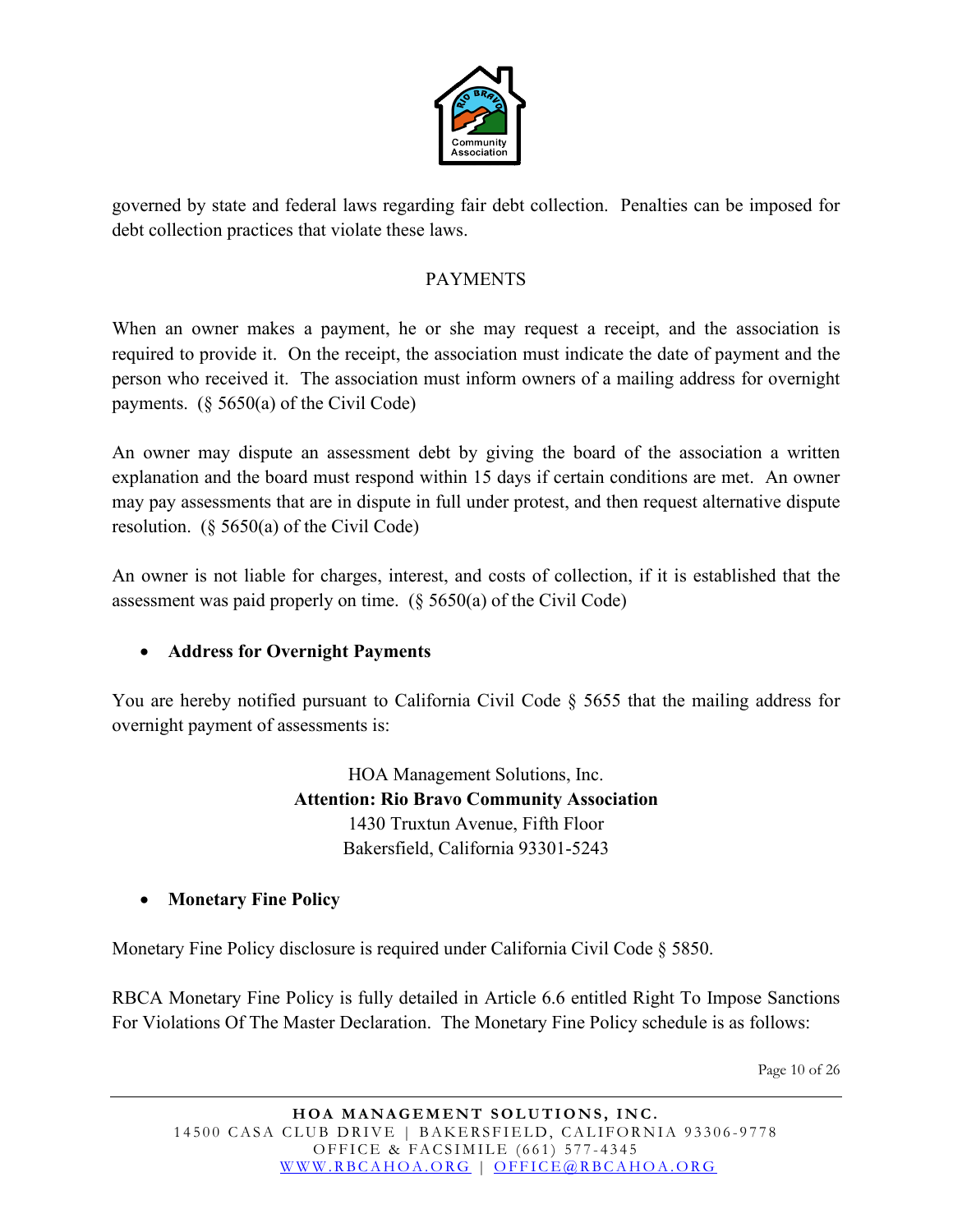

governed by state and federal laws regarding fair debt collection. Penalties can be imposed for debt collection practices that violate these laws.

#### PAYMENTS

When an owner makes a payment, he or she may request a receipt, and the association is required to provide it. On the receipt, the association must indicate the date of payment and the person who received it. The association must inform owners of a mailing address for overnight payments.  $(\S 5650(a)$  of the Civil Code)

An owner may dispute an assessment debt by giving the board of the association a written explanation and the board must respond within 15 days if certain conditions are met. An owner may pay assessments that are in dispute in full under protest, and then request alternative dispute resolution. (§ 5650(a) of the Civil Code)

An owner is not liable for charges, interest, and costs of collection, if it is established that the assessment was paid properly on time. (§ 5650(a) of the Civil Code)

#### • **Address for Overnight Payments**

You are hereby notified pursuant to California Civil Code § 5655 that the mailing address for overnight payment of assessments is:

> HOA Management Solutions, Inc. **Attention: Rio Bravo Community Association** 1430 Truxtun Avenue, Fifth Floor Bakersfield, California 93301-5243

#### • **Monetary Fine Policy**

Monetary Fine Policy disclosure is required under California Civil Code § 5850.

RBCA Monetary Fine Policy is fully detailed in Article 6.6 entitled Right To Impose Sanctions For Violations Of The Master Declaration. The Monetary Fine Policy schedule is as follows:

Page 10 of 26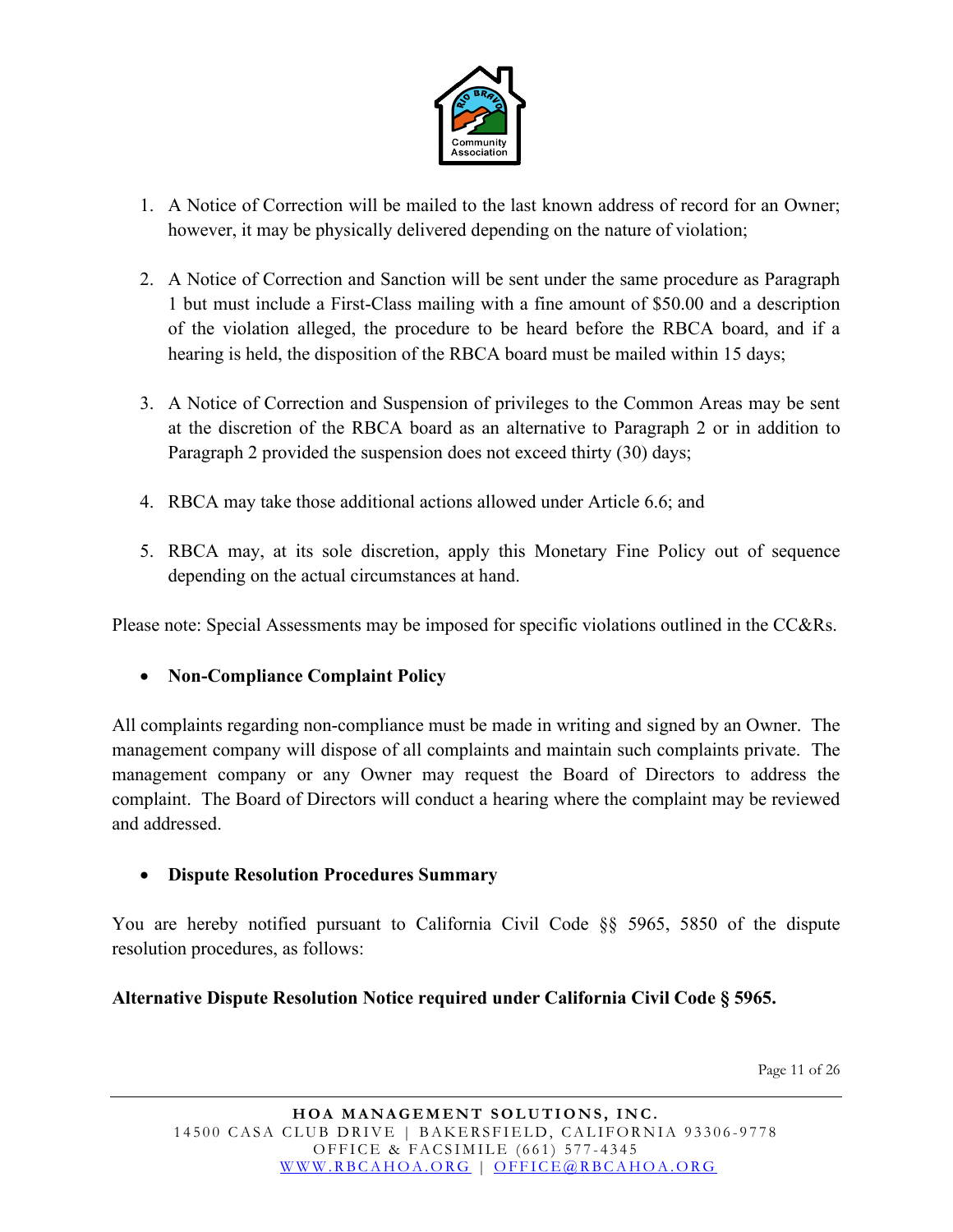

- 1. A Notice of Correction will be mailed to the last known address of record for an Owner; however, it may be physically delivered depending on the nature of violation;
- 2. A Notice of Correction and Sanction will be sent under the same procedure as Paragraph 1 but must include a First-Class mailing with a fine amount of \$50.00 and a description of the violation alleged, the procedure to be heard before the RBCA board, and if a hearing is held, the disposition of the RBCA board must be mailed within 15 days;
- 3. A Notice of Correction and Suspension of privileges to the Common Areas may be sent at the discretion of the RBCA board as an alternative to Paragraph 2 or in addition to Paragraph 2 provided the suspension does not exceed thirty (30) days;
- 4. RBCA may take those additional actions allowed under Article 6.6; and
- 5. RBCA may, at its sole discretion, apply this Monetary Fine Policy out of sequence depending on the actual circumstances at hand.

Please note: Special Assessments may be imposed for specific violations outlined in the CC&Rs.

• **Non-Compliance Complaint Policy** 

All complaints regarding non-compliance must be made in writing and signed by an Owner. The management company will dispose of all complaints and maintain such complaints private. The management company or any Owner may request the Board of Directors to address the complaint. The Board of Directors will conduct a hearing where the complaint may be reviewed and addressed.

• **Dispute Resolution Procedures Summary**

You are hereby notified pursuant to California Civil Code §§ 5965, 5850 of the dispute resolution procedures, as follows:

#### **Alternative Dispute Resolution Notice required under California Civil Code § 5965.**

Page 11 of 26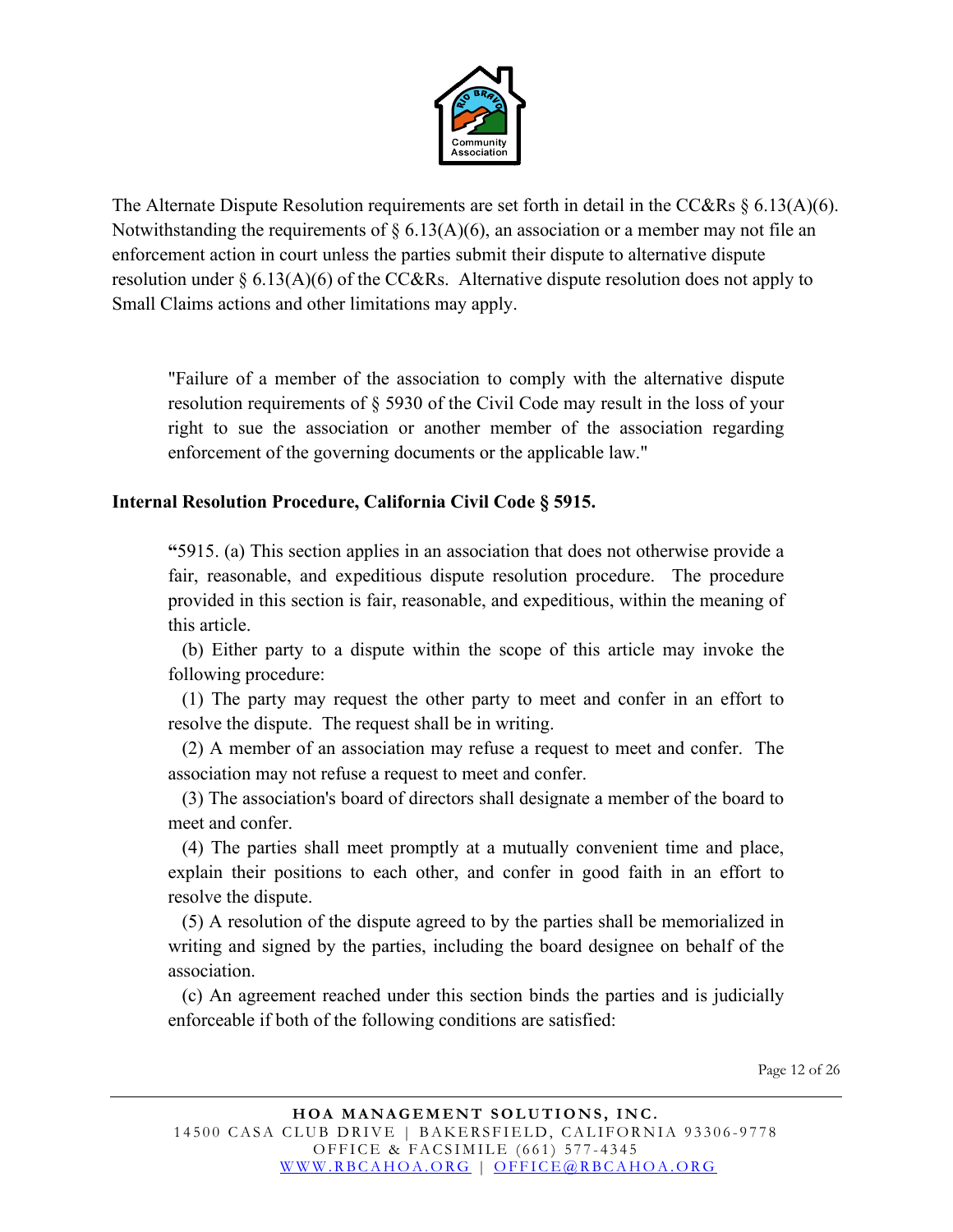

The Alternate Dispute Resolution requirements are set forth in detail in the CC&Rs § 6.13(A)(6). Notwithstanding the requirements of  $\S 6.13(A)(6)$ , an association or a member may not file an enforcement action in court unless the parties submit their dispute to alternative dispute resolution under § 6.13(A)(6) of the CC&Rs. Alternative dispute resolution does not apply to Small Claims actions and other limitations may apply.

"Failure of a member of the association to comply with the alternative dispute resolution requirements of § 5930 of the Civil Code may result in the loss of your right to sue the association or another member of the association regarding enforcement of the governing documents or the applicable law."

#### **Internal Resolution Procedure, California Civil Code § 5915.**

**"**5915. (a) This section applies in an association that does not otherwise provide a fair, reasonable, and expeditious dispute resolution procedure. The procedure provided in this section is fair, reasonable, and expeditious, within the meaning of this article.

 (b) Either party to a dispute within the scope of this article may invoke the following procedure:

 (1) The party may request the other party to meet and confer in an effort to resolve the dispute. The request shall be in writing.

 (2) A member of an association may refuse a request to meet and confer. The association may not refuse a request to meet and confer.

 (3) The association's board of directors shall designate a member of the board to meet and confer.

 (4) The parties shall meet promptly at a mutually convenient time and place, explain their positions to each other, and confer in good faith in an effort to resolve the dispute.

 (5) A resolution of the dispute agreed to by the parties shall be memorialized in writing and signed by the parties, including the board designee on behalf of the association.

 (c) An agreement reached under this section binds the parties and is judicially enforceable if both of the following conditions are satisfied:

Page 12 of 26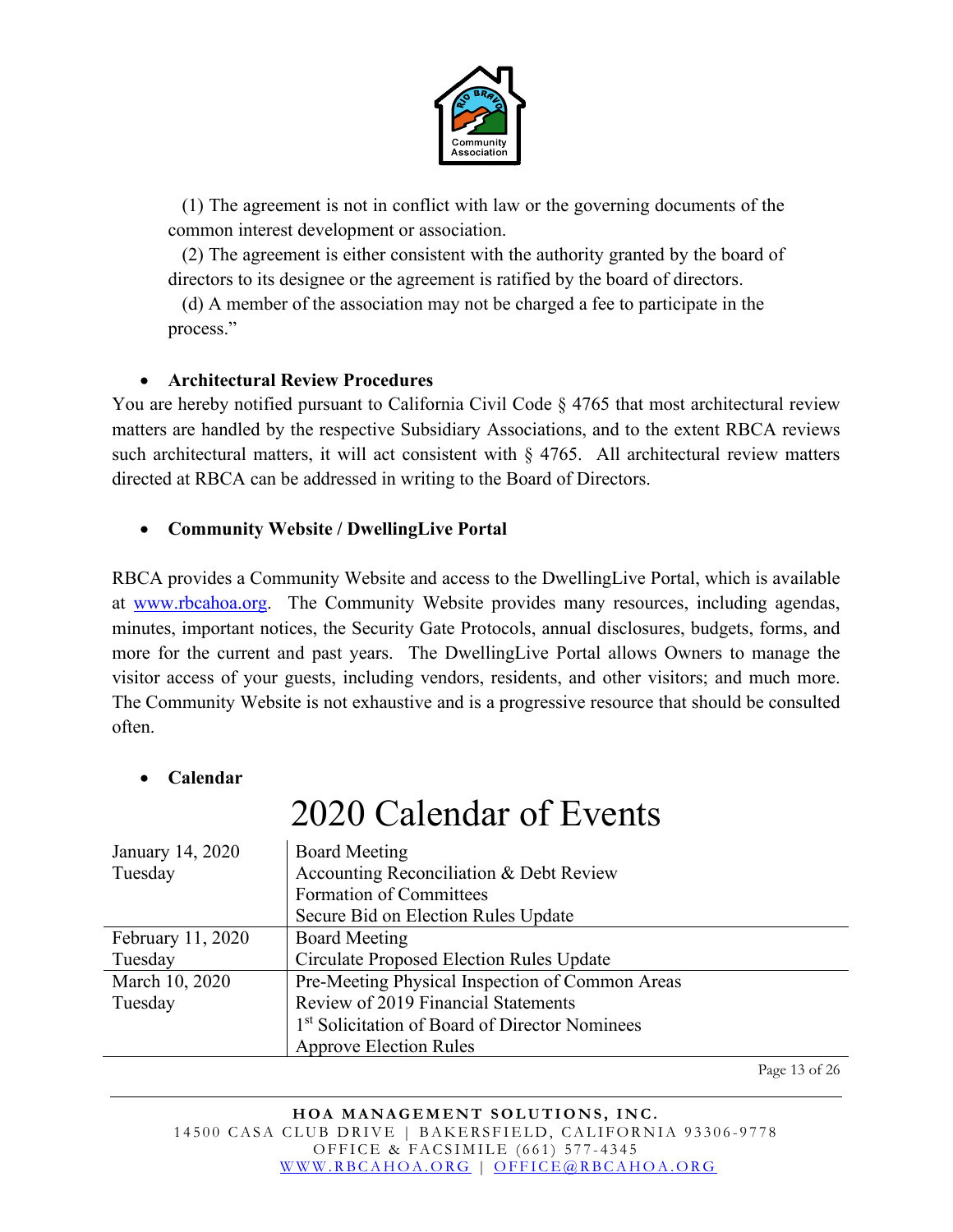

 (1) The agreement is not in conflict with law or the governing documents of the common interest development or association.

 (2) The agreement is either consistent with the authority granted by the board of directors to its designee or the agreement is ratified by the board of directors.

 (d) A member of the association may not be charged a fee to participate in the process."

#### • **Architectural Review Procedures**

You are hereby notified pursuant to California Civil Code  $\S 4765$  that most architectural review matters are handled by the respective Subsidiary Associations, and to the extent RBCA reviews such architectural matters, it will act consistent with § 4765. All architectural review matters directed at RBCA can be addressed in writing to the Board of Directors.

#### • **Community Website / DwellingLive Portal**

RBCA provides a Community Website and access to the DwellingLive Portal, which is available at [www.rbcahoa.org.](http://www.rbcahoa.org/) The Community Website provides many resources, including agendas, minutes, important notices, the Security Gate Protocols, annual disclosures, budgets, forms, and more for the current and past years. The DwellingLive Portal allows Owners to manage the visitor access of your guests, including vendors, residents, and other visitors; and much more. The Community Website is not exhaustive and is a progressive resource that should be consulted often.

#### • **Calendar**

# 2020 Calendar of Events

| January 14, 2020  | <b>Board Meeting</b>                                       |
|-------------------|------------------------------------------------------------|
| Tuesday           | Accounting Reconciliation & Debt Review                    |
|                   | Formation of Committees                                    |
|                   | Secure Bid on Election Rules Update                        |
| February 11, 2020 | <b>Board Meeting</b>                                       |
| Tuesday           | Circulate Proposed Election Rules Update                   |
| March 10, 2020    | Pre-Meeting Physical Inspection of Common Areas            |
| Tuesday           | Review of 2019 Financial Statements                        |
|                   | 1 <sup>st</sup> Solicitation of Board of Director Nominees |
|                   | <b>Approve Election Rules</b>                              |

Page 13 of 26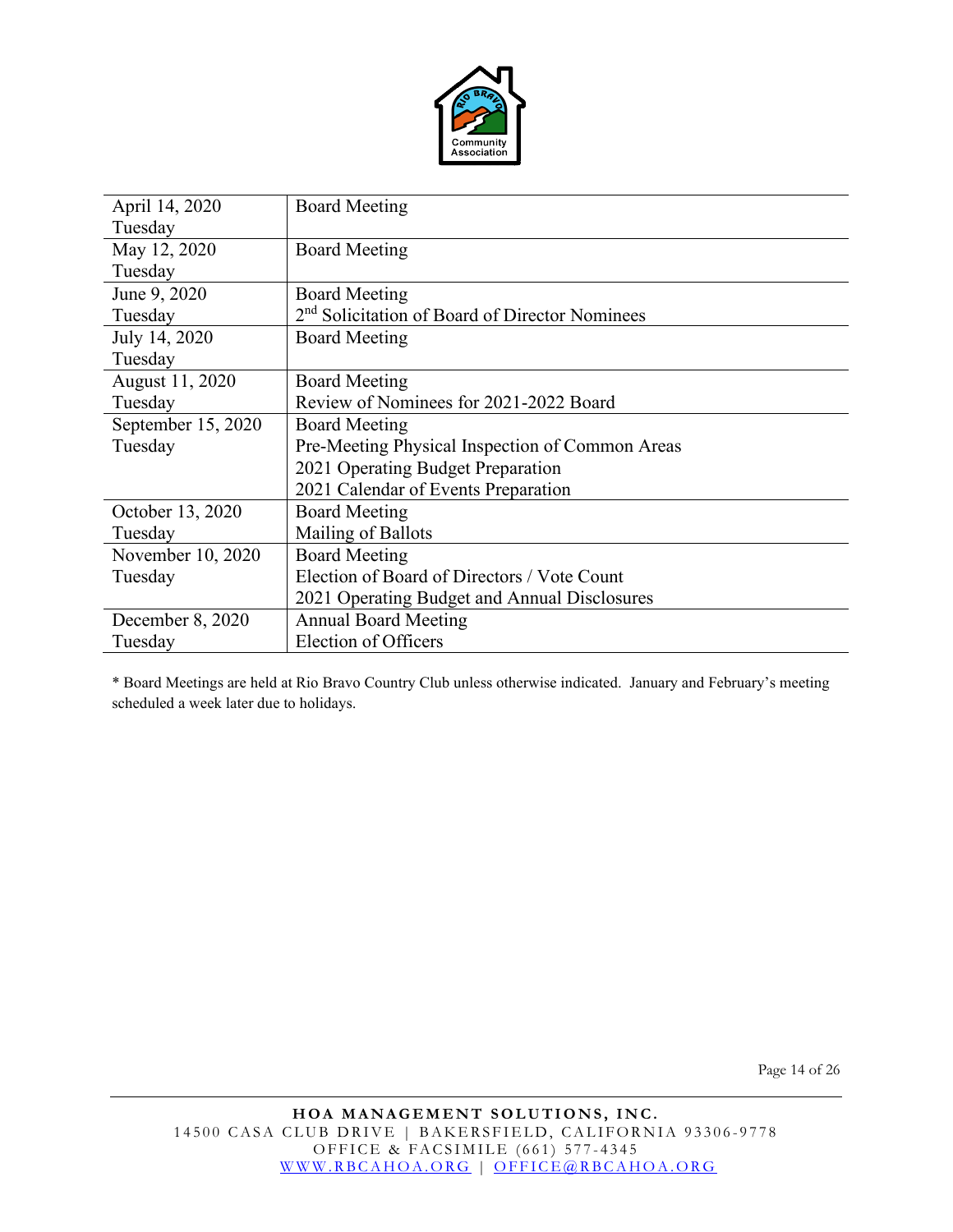

| April 14, 2020     | <b>Board Meeting</b>                                       |
|--------------------|------------------------------------------------------------|
| Tuesday            |                                                            |
| May 12, 2020       | <b>Board Meeting</b>                                       |
| Tuesday            |                                                            |
| June 9, 2020       | <b>Board Meeting</b>                                       |
| Tuesday            | 2 <sup>nd</sup> Solicitation of Board of Director Nominees |
| July 14, 2020      | <b>Board Meeting</b>                                       |
| Tuesday            |                                                            |
| August 11, 2020    | <b>Board Meeting</b>                                       |
| Tuesday            | Review of Nominees for 2021-2022 Board                     |
| September 15, 2020 | <b>Board Meeting</b>                                       |
| Tuesday            | Pre-Meeting Physical Inspection of Common Areas            |
|                    | 2021 Operating Budget Preparation                          |
|                    | 2021 Calendar of Events Preparation                        |
| October 13, 2020   | <b>Board Meeting</b>                                       |
| Tuesday            | Mailing of Ballots                                         |
| November 10, 2020  | <b>Board Meeting</b>                                       |
| Tuesday            | Election of Board of Directors / Vote Count                |
|                    | 2021 Operating Budget and Annual Disclosures               |
| December 8, 2020   | <b>Annual Board Meeting</b>                                |
| Tuesday            | <b>Election of Officers</b>                                |

\* Board Meetings are held at Rio Bravo Country Club unless otherwise indicated. January and February's meeting scheduled a week later due to holidays.

Page 14 of 26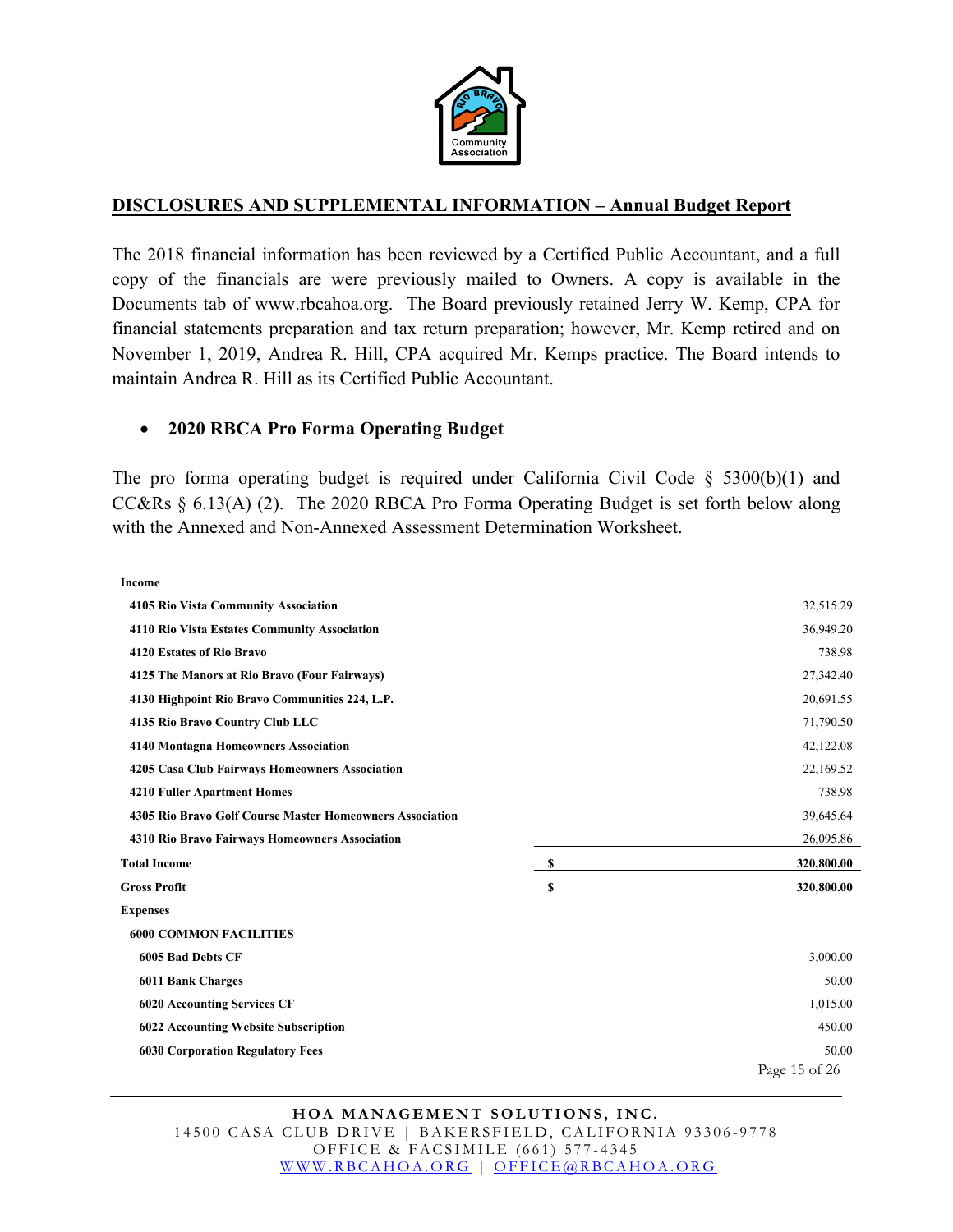

#### **DISCLOSURES AND SUPPLEMENTAL INFORMATION – Annual Budget Report**

The 2018 financial information has been reviewed by a Certified Public Accountant, and a full copy of the financials are were previously mailed to Owners. A copy is available in the Documents tab of www.rbcahoa.org. The Board previously retained Jerry W. Kemp, CPA for financial statements preparation and tax return preparation; however, Mr. Kemp retired and on November 1, 2019, Andrea R. Hill, CPA acquired Mr. Kemps practice. The Board intends to maintain Andrea R. Hill as its Certified Public Accountant.

#### • **2020 RBCA Pro Forma Operating Budget**

The pro forma operating budget is required under California Civil Code  $\S$  5300(b)(1) and CC&Rs § 6.13(A) (2). The 2020 RBCA Pro Forma Operating Budget is set forth below along with the Annexed and Non-Annexed Assessment Determination Worksheet.

**Income**

| <b>4105 Rio Vista Community Association</b>              |    | 32,515.29     |  |
|----------------------------------------------------------|----|---------------|--|
| 4110 Rio Vista Estates Community Association             |    | 36,949.20     |  |
| 4120 Estates of Rio Bravo                                |    | 738.98        |  |
| 4125 The Manors at Rio Bravo (Four Fairways)             |    | 27,342.40     |  |
| 4130 Highpoint Rio Bravo Communities 224, L.P.           |    | 20,691.55     |  |
| 4135 Rio Bravo Country Club LLC                          |    | 71,790.50     |  |
| <b>4140 Montagna Homeowners Association</b>              |    | 42,122.08     |  |
| 4205 Casa Club Fairways Homeowners Association           |    | 22,169.52     |  |
| <b>4210 Fuller Apartment Homes</b>                       |    | 738.98        |  |
| 4305 Rio Bravo Golf Course Master Homeowners Association |    | 39,645.64     |  |
| 4310 Rio Bravo Fairways Homeowners Association           |    | 26,095.86     |  |
| <b>Total Income</b>                                      | S  | 320,800.00    |  |
| <b>Gross Profit</b>                                      | \$ | 320,800.00    |  |
| <b>Expenses</b>                                          |    |               |  |
| <b>6000 COMMON FACILITIES</b>                            |    |               |  |
| 6005 Bad Debts CF                                        |    | 3,000.00      |  |
| <b>6011 Bank Charges</b>                                 |    | 50.00         |  |
| <b>6020 Accounting Services CF</b>                       |    | 1,015.00      |  |
| 6022 Accounting Website Subscription                     |    | 450.00        |  |
| <b>6030 Corporation Regulatory Fees</b>                  |    | 50.00         |  |
|                                                          |    | Page 15 of 26 |  |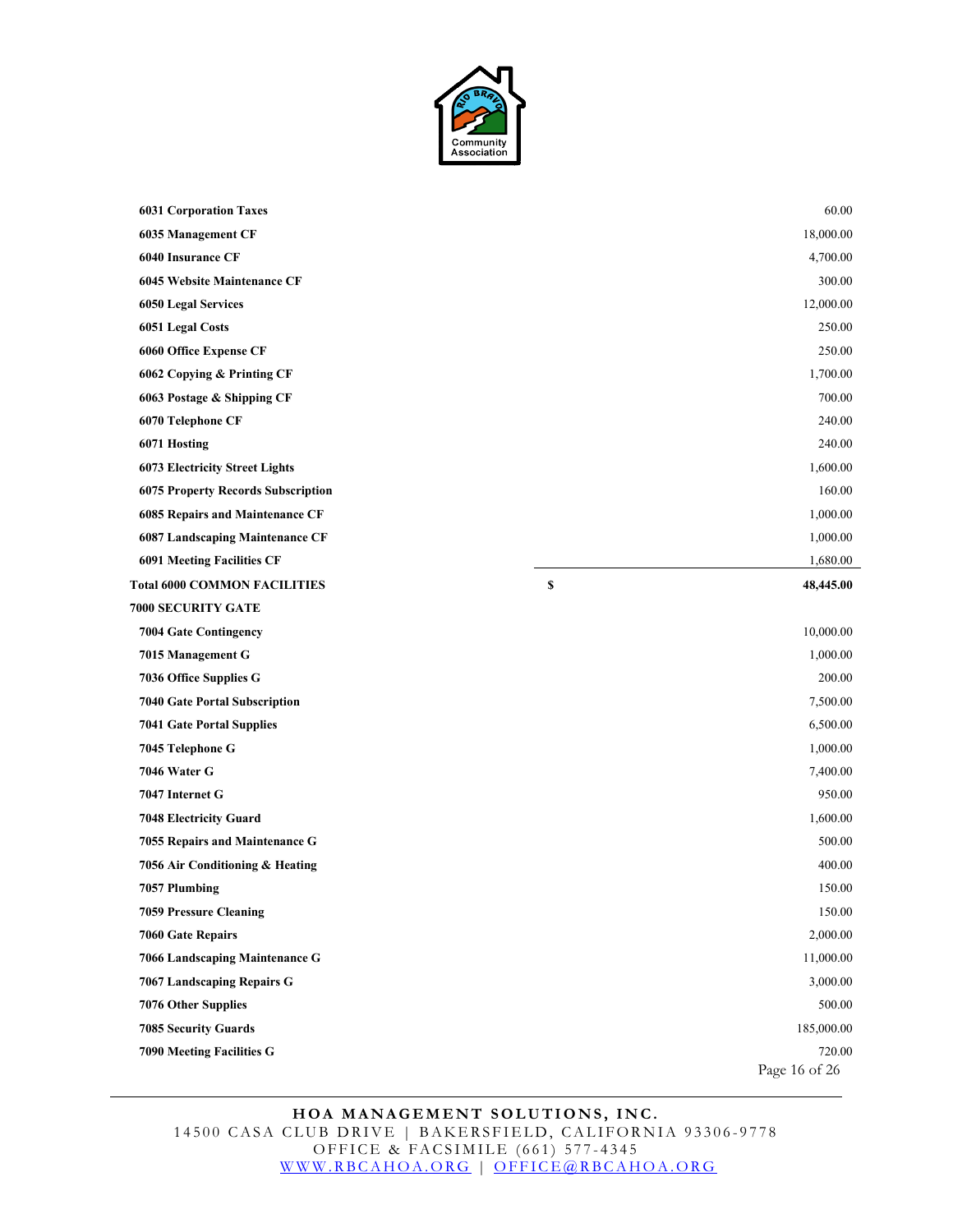

| <b>6031 Corporation Taxes</b>             | 60.00           |
|-------------------------------------------|-----------------|
| <b>6035 Management CF</b>                 | 18,000.00       |
| <b>6040 Insurance CF</b>                  | 4,700.00        |
| 6045 Website Maintenance CF               | 300.00          |
| <b>6050 Legal Services</b>                | 12,000.00       |
| 6051 Legal Costs                          | 250.00          |
| 6060 Office Expense CF                    | 250.00          |
| 6062 Copying & Printing CF                | 1,700.00        |
| 6063 Postage & Shipping CF                | 700.00          |
| 6070 Telephone CF                         | 240.00          |
| 6071 Hosting                              | 240.00          |
| <b>6073 Electricity Street Lights</b>     | 1,600.00        |
| <b>6075 Property Records Subscription</b> | 160.00          |
| 6085 Repairs and Maintenance CF           | 1,000.00        |
| 6087 Landscaping Maintenance CF           | 1,000.00        |
| <b>6091 Meeting Facilities CF</b>         | 1,680.00        |
| <b>Total 6000 COMMON FACILITIES</b>       | \$<br>48,445.00 |
| <b>7000 SECURITY GATE</b>                 |                 |
| <b>7004 Gate Contingency</b>              | 10,000.00       |
| 7015 Management G                         | 1,000.00        |
| 7036 Office Supplies G                    | 200.00          |
| <b>7040 Gate Portal Subscription</b>      | 7,500.00        |
| <b>7041 Gate Portal Supplies</b>          | 6,500.00        |
| 7045 Telephone G                          | 1,000.00        |
| 7046 Water G                              | 7,400.00        |
| 7047 Internet G                           | 950.00          |
| 7048 Electricity Guard                    | 1,600.00        |
| 7055 Repairs and Maintenance G            | 500.00          |
| 7056 Air Conditioning & Heating           | 400.00          |
| 7057 Plumbing                             | 150.00          |
| <b>7059 Pressure Cleaning</b>             | 150.00          |
| 7060 Gate Repairs                         | 2,000.00        |
| 7066 Landscaping Maintenance G            | 11,000.00       |
| 7067 Landscaping Repairs G                | 3,000.00        |
| 7076 Other Supplies                       | 500.00          |
| <b>7085 Security Guards</b>               | 185,000.00      |
| <b>7090 Meeting Facilities G</b>          | 720.00          |
|                                           | Page 16 of 26   |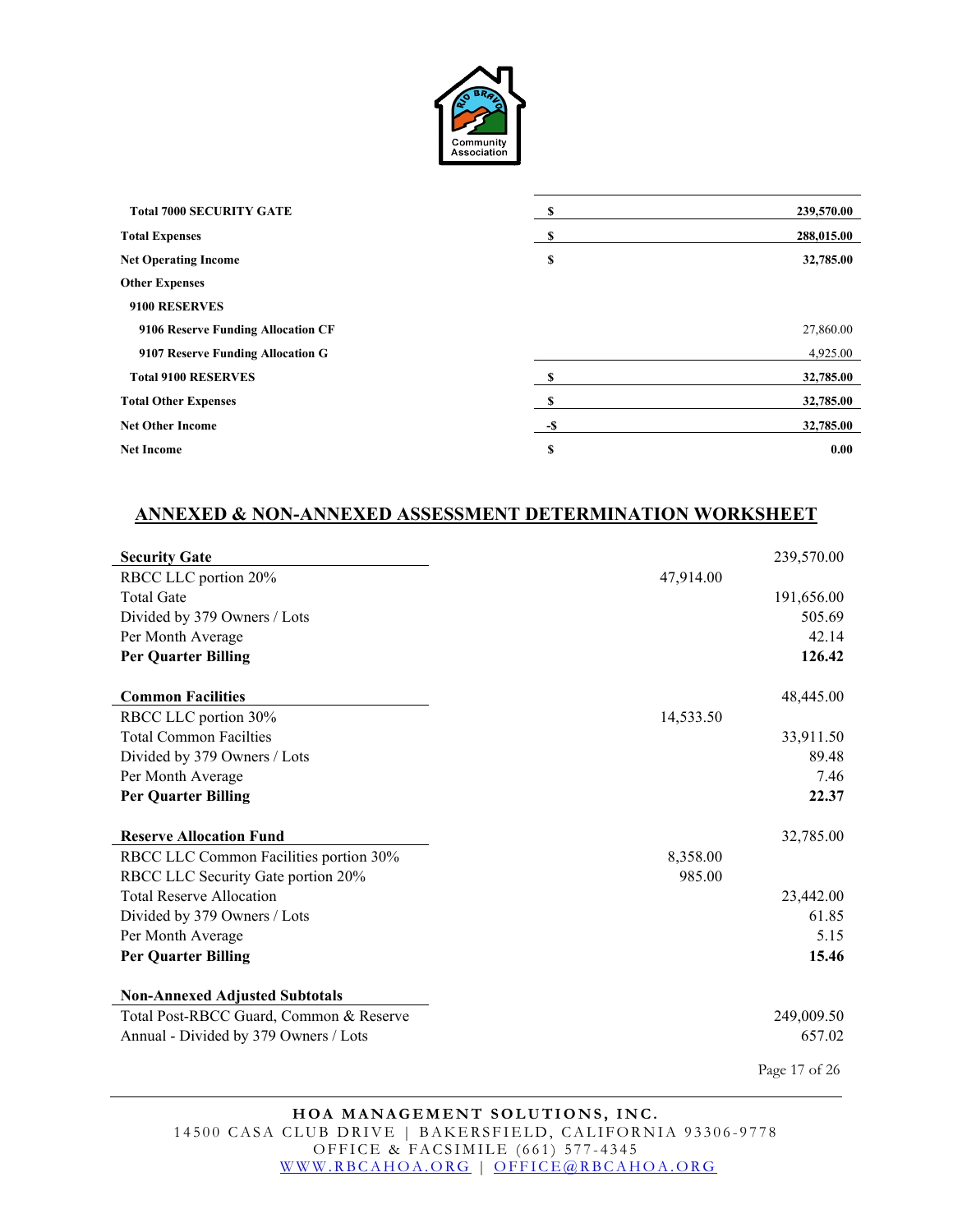

| <b>Total 7000 SECURITY GATE</b>    | S   | 239,570.00 |
|------------------------------------|-----|------------|
| <b>Total Expenses</b>              | -S  | 288,015.00 |
| <b>Net Operating Income</b>        | \$  | 32,785.00  |
| <b>Other Expenses</b>              |     |            |
| 9100 RESERVES                      |     |            |
| 9106 Reserve Funding Allocation CF |     | 27,860.00  |
| 9107 Reserve Funding Allocation G  |     | 4,925.00   |
| <b>Total 9100 RESERVES</b>         |     | 32,785.00  |
| <b>Total Other Expenses</b>        | S   | 32,785.00  |
| <b>Net Other Income</b>            | -\$ | 32,785.00  |
| <b>Net Income</b>                  | \$  | 0.00       |

#### **ANNEXED & NON-ANNEXED ASSESSMENT DETERMINATION WORKSHEET**

| <b>Security Gate</b>                                                             | 239,570.00            |
|----------------------------------------------------------------------------------|-----------------------|
| RBCC LLC portion 20%                                                             | 47,914.00             |
| <b>Total Gate</b>                                                                | 191,656.00            |
| Divided by 379 Owners / Lots                                                     | 505.69                |
| Per Month Average                                                                | 42.14                 |
| <b>Per Quarter Billing</b>                                                       | 126.42                |
| <b>Common Facilities</b>                                                         | 48,445.00             |
| RBCC LLC portion 30%                                                             | 14,533.50             |
| <b>Total Common Facilties</b>                                                    | 33,911.50             |
| Divided by 379 Owners / Lots                                                     | 89.48                 |
| Per Month Average                                                                | 7.46                  |
| <b>Per Quarter Billing</b>                                                       | 22.37                 |
|                                                                                  |                       |
| <b>Reserve Allocation Fund</b>                                                   |                       |
|                                                                                  | 32,785.00<br>8,358.00 |
| RBCC LLC Common Facilities portion 30%<br>RBCC LLC Security Gate portion 20%     | 985.00                |
| <b>Total Reserve Allocation</b>                                                  |                       |
| Divided by 379 Owners / Lots                                                     | 23,442.00<br>61.85    |
| Per Month Average                                                                | 5.15                  |
| <b>Per Quarter Billing</b>                                                       | 15.46                 |
|                                                                                  |                       |
| <b>Non-Annexed Adjusted Subtotals</b><br>Total Post-RBCC Guard, Common & Reserve | 249,009.50            |
| Annual - Divided by 379 Owners / Lots                                            | 657.02                |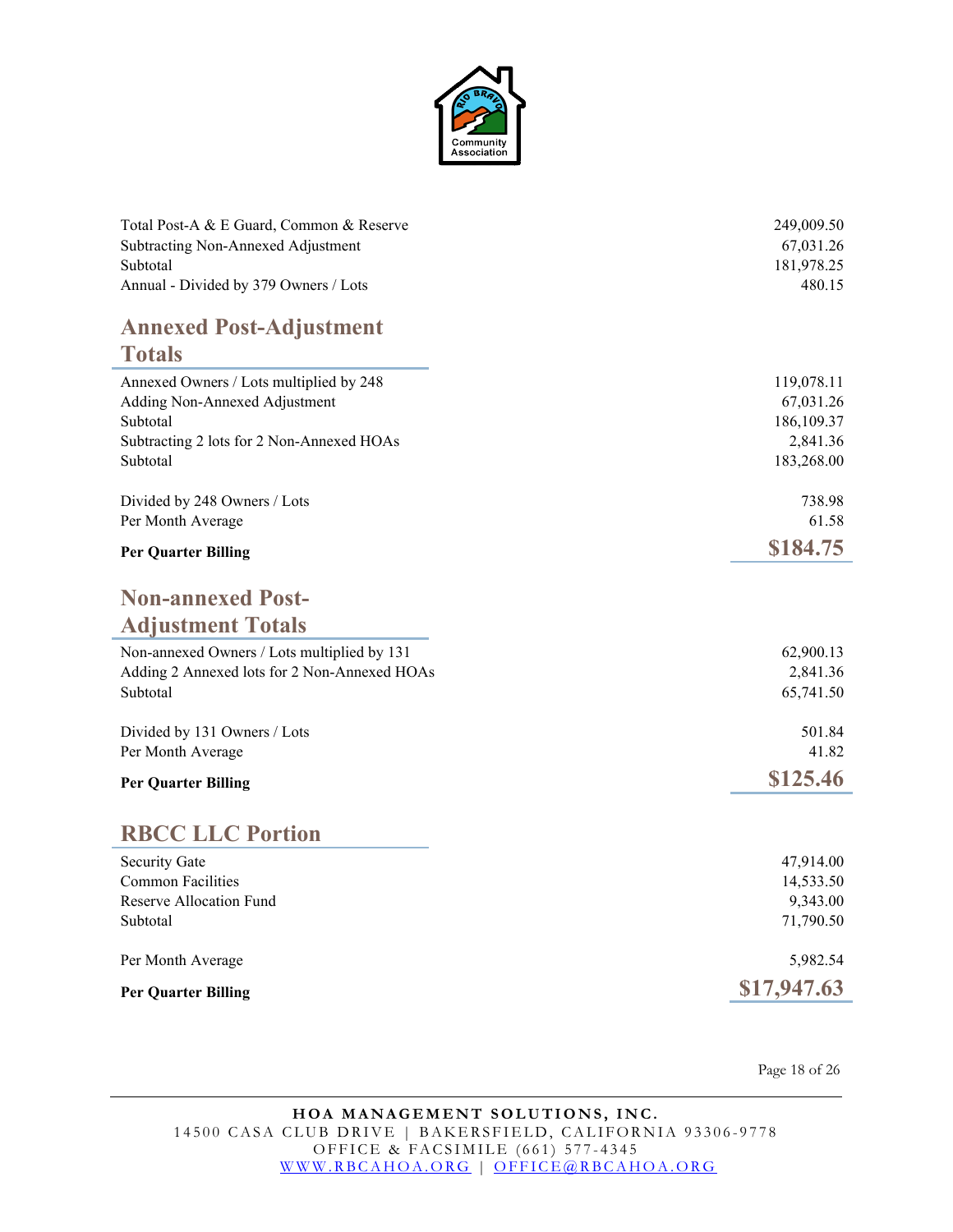

| Total Post-A & E Guard, Common & Reserve     | 249,009.50  |
|----------------------------------------------|-------------|
| Subtracting Non-Annexed Adjustment           | 67,031.26   |
| Subtotal                                     | 181,978.25  |
| Annual - Divided by 379 Owners / Lots        | 480.15      |
| <b>Annexed Post-Adjustment</b>               |             |
| <b>Totals</b>                                |             |
| Annexed Owners / Lots multiplied by 248      | 119,078.11  |
| Adding Non-Annexed Adjustment                | 67,031.26   |
| Subtotal                                     | 186,109.37  |
| Subtracting 2 lots for 2 Non-Annexed HOAs    | 2,841.36    |
| Subtotal                                     | 183,268.00  |
| Divided by 248 Owners / Lots                 | 738.98      |
| Per Month Average                            | 61.58       |
| <b>Per Quarter Billing</b>                   | \$184.75    |
| <b>Non-annexed Post-</b>                     |             |
|                                              |             |
| <b>Adjustment Totals</b>                     |             |
| Non-annexed Owners / Lots multiplied by 131  | 62,900.13   |
| Adding 2 Annexed lots for 2 Non-Annexed HOAs | 2,841.36    |
| Subtotal                                     | 65,741.50   |
| Divided by 131 Owners / Lots                 | 501.84      |
| Per Month Average                            | 41.82       |
|                                              | \$125.46    |
| <b>Per Quarter Billing</b>                   |             |
| <b>RBCC LLC Portion</b>                      |             |
| <b>Security Gate</b>                         | 47,914.00   |
| <b>Common Facilities</b>                     | 14,533.50   |
| Reserve Allocation Fund                      | 9,343.00    |
| Subtotal                                     | 71,790.50   |
| Per Month Average                            | 5,982.54    |
| <b>Per Quarter Billing</b>                   | \$17,947.63 |
|                                              |             |

Page 18 of 26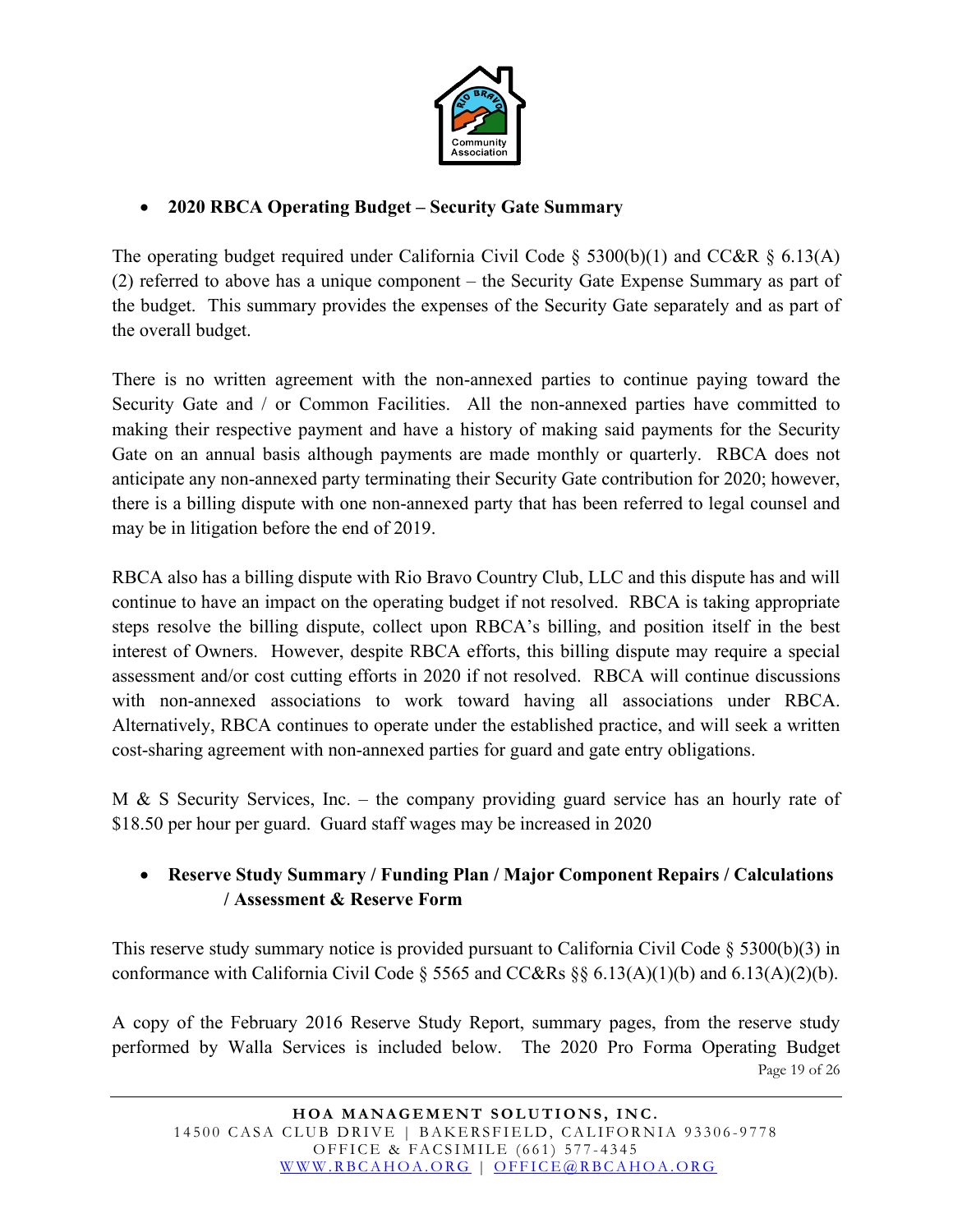

## • **2020 RBCA Operating Budget – Security Gate Summary**

The operating budget required under California Civil Code § 5300(b)(1) and CC&R § 6.13(A) (2) referred to above has a unique component – the Security Gate Expense Summary as part of the budget. This summary provides the expenses of the Security Gate separately and as part of the overall budget.

There is no written agreement with the non-annexed parties to continue paying toward the Security Gate and / or Common Facilities. All the non-annexed parties have committed to making their respective payment and have a history of making said payments for the Security Gate on an annual basis although payments are made monthly or quarterly. RBCA does not anticipate any non-annexed party terminating their Security Gate contribution for 2020; however, there is a billing dispute with one non-annexed party that has been referred to legal counsel and may be in litigation before the end of 2019.

RBCA also has a billing dispute with Rio Bravo Country Club, LLC and this dispute has and will continue to have an impact on the operating budget if not resolved. RBCA is taking appropriate steps resolve the billing dispute, collect upon RBCA's billing, and position itself in the best interest of Owners. However, despite RBCA efforts, this billing dispute may require a special assessment and/or cost cutting efforts in 2020 if not resolved. RBCA will continue discussions with non-annexed associations to work toward having all associations under RBCA. Alternatively, RBCA continues to operate under the established practice, and will seek a written cost-sharing agreement with non-annexed parties for guard and gate entry obligations.

M & S Security Services, Inc. – the company providing guard service has an hourly rate of \$18.50 per hour per guard. Guard staff wages may be increased in 2020

### • **Reserve Study Summary / Funding Plan / Major Component Repairs / Calculations / Assessment & Reserve Form**

This reserve study summary notice is provided pursuant to California Civil Code  $\S$  5300(b)(3) in conformance with California Civil Code  $\S$  5565 and CC&Rs  $\S$ § 6.13(A)(1)(b) and 6.13(A)(2)(b).

Page 19 of 26 A copy of the February 2016 Reserve Study Report, summary pages, from the reserve study performed by Walla Services is included below. The 2020 Pro Forma Operating Budget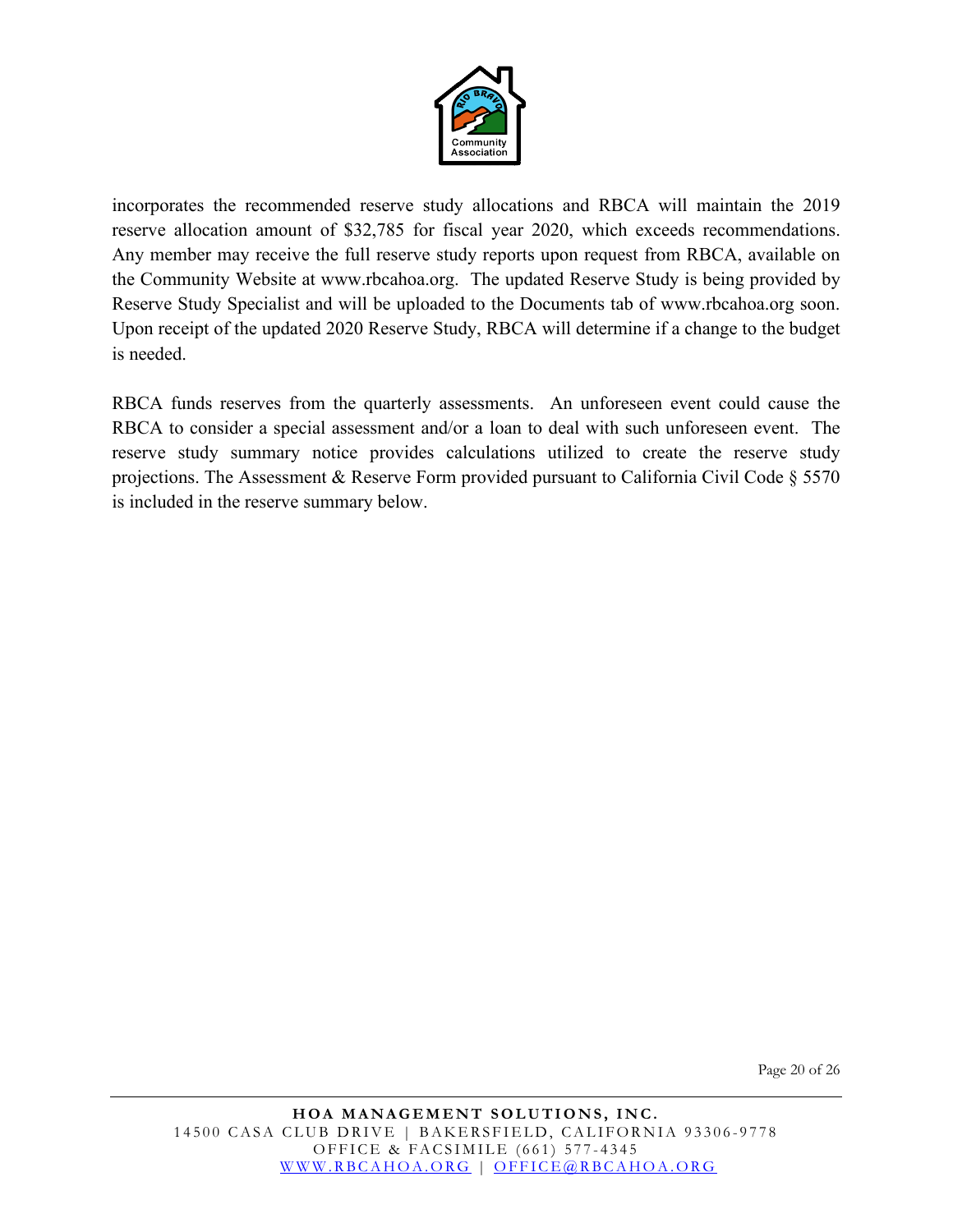

incorporates the recommended reserve study allocations and RBCA will maintain the 2019 reserve allocation amount of \$32,785 for fiscal year 2020, which exceeds recommendations. Any member may receive the full reserve study reports upon request from RBCA, available on the Community Website at www.rbcahoa.org. The updated Reserve Study is being provided by Reserve Study Specialist and will be uploaded to the Documents tab of www.rbcahoa.org soon. Upon receipt of the updated 2020 Reserve Study, RBCA will determine if a change to the budget is needed.

RBCA funds reserves from the quarterly assessments. An unforeseen event could cause the RBCA to consider a special assessment and/or a loan to deal with such unforeseen event. The reserve study summary notice provides calculations utilized to create the reserve study projections. The Assessment & Reserve Form provided pursuant to California Civil Code § 5570 is included in the reserve summary below.

Page 20 of 26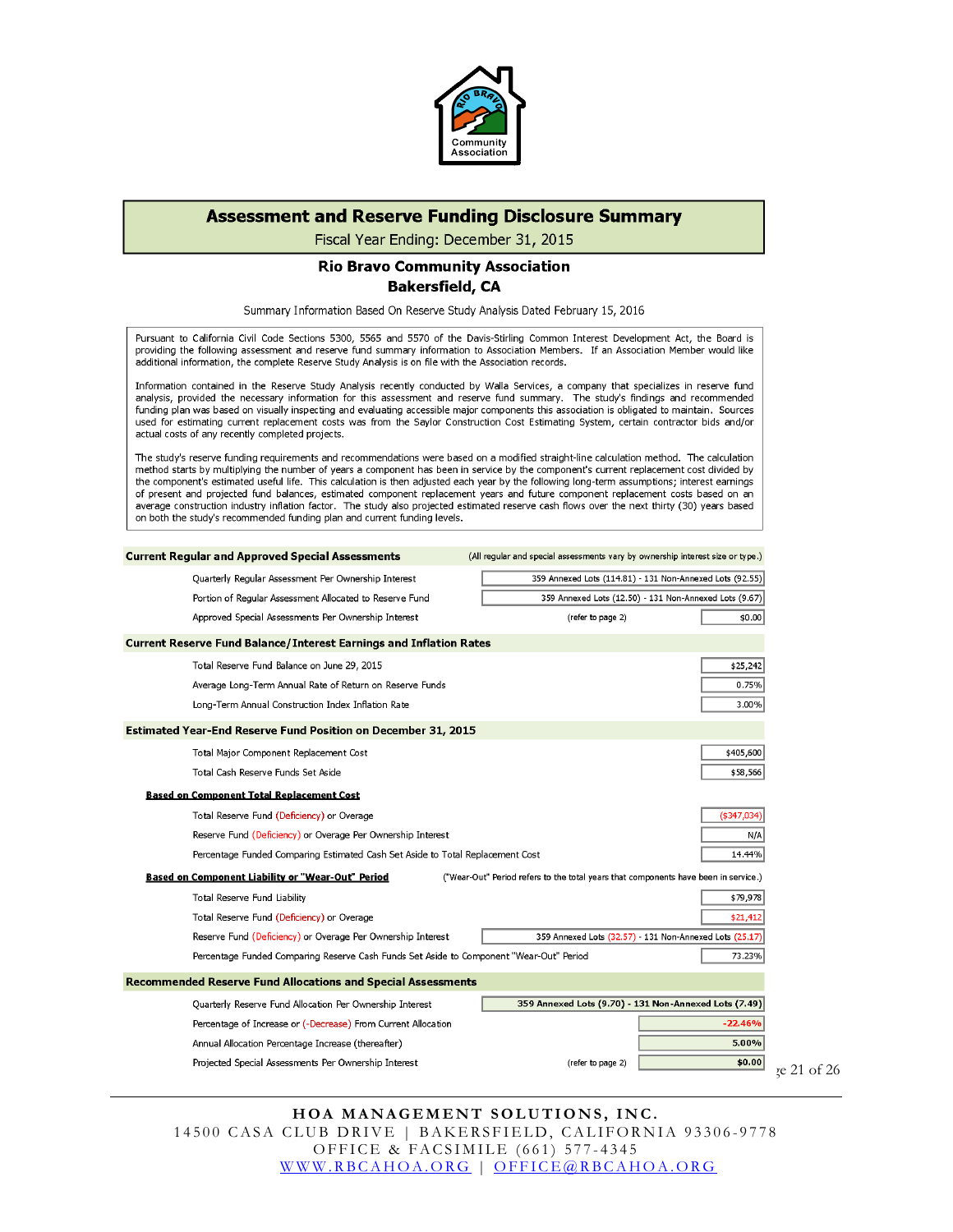

#### **Assessment and Reserve Funding Disclosure Summary**

Fiscal Year Ending: December 31, 2015

#### **Rio Bravo Community Association Bakersfield, CA**

Summary Information Based On Reserve Study Analysis Dated February 15, 2016

Pursuant to California Civil Code Sections 5300, 5565 and 5570 of the Davis-Stirling Common Interest Development Act, the Board is recording the following assessment and reserve fund summary information to Association Members. If an Association Member would like additional information, the complete Reserve Study Analysis is on file with the Association records.

Information contained in the Reserve Study Analysis recently conducted by Walla Services, a company that specializes in reserve fund analysis, provided the necessary information for this assessment and reserve fund summary. The study's findings and recommended funding plan was based on visually inspecting and evaluating accessible major components this association is obligated to maintain. Sources used for estimating current replacement costs was from the Saylor Construction Cost Estimating System, certain contractor bids and/or actual costs of any recently completed projects.

The study's reserve funding requirements and recommendations were based on a modified straight-line calculation method. The calculation method starts by multiplying the number of years a component has been in service by the component's current replacement cost divided by the component's estimated useful life. This calculation is then adjusted each year by the following long-term assumptions; interest earnings of present and projected fund balances, estimated component replacement years and future component replacement costs based on an average construction industry inflation factor. The study also projected estimated reserve cash flows over the next thirty (30) years based on both the study's recommended funding plan and current funding levels.

| <b>Current Regular and Approved Special Assessments</b><br>(All regular and special assessments vary by ownership interest size or type.)       |                |
|-------------------------------------------------------------------------------------------------------------------------------------------------|----------------|
| 359 Annexed Lots (114.81) - 131 Non-Annexed Lots (92.55)<br>Quarterly Regular Assessment Per Ownership Interest                                 |                |
| 359 Annexed Lots (12.50) - 131 Non-Annexed Lots (9.67)<br>Portion of Regular Assessment Allocated to Reserve Fund                               |                |
| Approved Special Assessments Per Ownership Interest<br>(refer to page 2)                                                                        | \$0.00         |
| <b>Current Reserve Fund Balance/Interest Earnings and Inflation Rates</b>                                                                       |                |
| Total Reserve Fund Balance on June 29, 2015                                                                                                     | \$25,242       |
| Average Long-Term Annual Rate of Return on Reserve Funds                                                                                        | 0.75%          |
| Long-Term Annual Construction Index Inflation Rate                                                                                              | 3.00%          |
| <b>Estimated Year-End Reserve Fund Position on December 31, 2015</b>                                                                            |                |
| Total Major Component Replacement Cost                                                                                                          | \$405,600      |
| Total Cash Reserve Funds Set Aside                                                                                                              | \$58,566       |
| <b>Based on Component Total Replacement Cost</b>                                                                                                |                |
| Total Reserve Fund (Deficiency) or Overage                                                                                                      | $($ \$347,034) |
| Reserve Fund (Deficiency) or Overage Per Ownership Interest                                                                                     | N/A            |
| Percentage Funded Comparing Estimated Cash Set Aside to Total Replacement Cost                                                                  | 14.44%         |
| <b>Based on Component Liability or "Wear-Out" Period</b><br>("Wear-Out" Period refers to the total years that components have been in service.) |                |
| Total Reserve Fund Liability                                                                                                                    | \$79,978       |
| Total Reserve Fund (Deficiency) or Overage                                                                                                      | \$21,412       |
| Reserve Fund (Deficiency) or Overage Per Ownership Interest<br>359 Annexed Lots (32.57) - 131 Non-Annexed Lots (25.17)                          |                |
| Percentage Funded Comparing Reserve Cash Funds Set Aside to Component "Wear-Out" Period                                                         | 73.23%         |
| <b>Recommended Reserve Fund Allocations and Special Assessments</b>                                                                             |                |
| 359 Annexed Lots (9.70) - 131 Non-Annexed Lots (7.49)<br>Quarterly Reserve Fund Allocation Per Ownership Interest                               |                |
| Percentage of Increase or (-Decrease) From Current Allocation                                                                                   | $-22.46%$      |
| Annual Allocation Percentage Increase (thereafter)                                                                                              | 5.00%          |
| Projected Special Assessments Per Ownership Interest<br>(refer to page 2)                                                                       | \$0.00         |

#### **HOA MANAGEMENT SOLUTIONS, INC.** 14500 CASA CLUB DRIVE | BAKERSFIELD, CALIFORNIA 93306-9778 OFFICE & FACSIMILE (661) 577 - 4345 [WWW.RBCAHOA.ORG](http://www.rbcahoa.org/) | [OFFICE@RBCAHOA.ORG](mailto:OFFICE@RBCAHOA.ORG)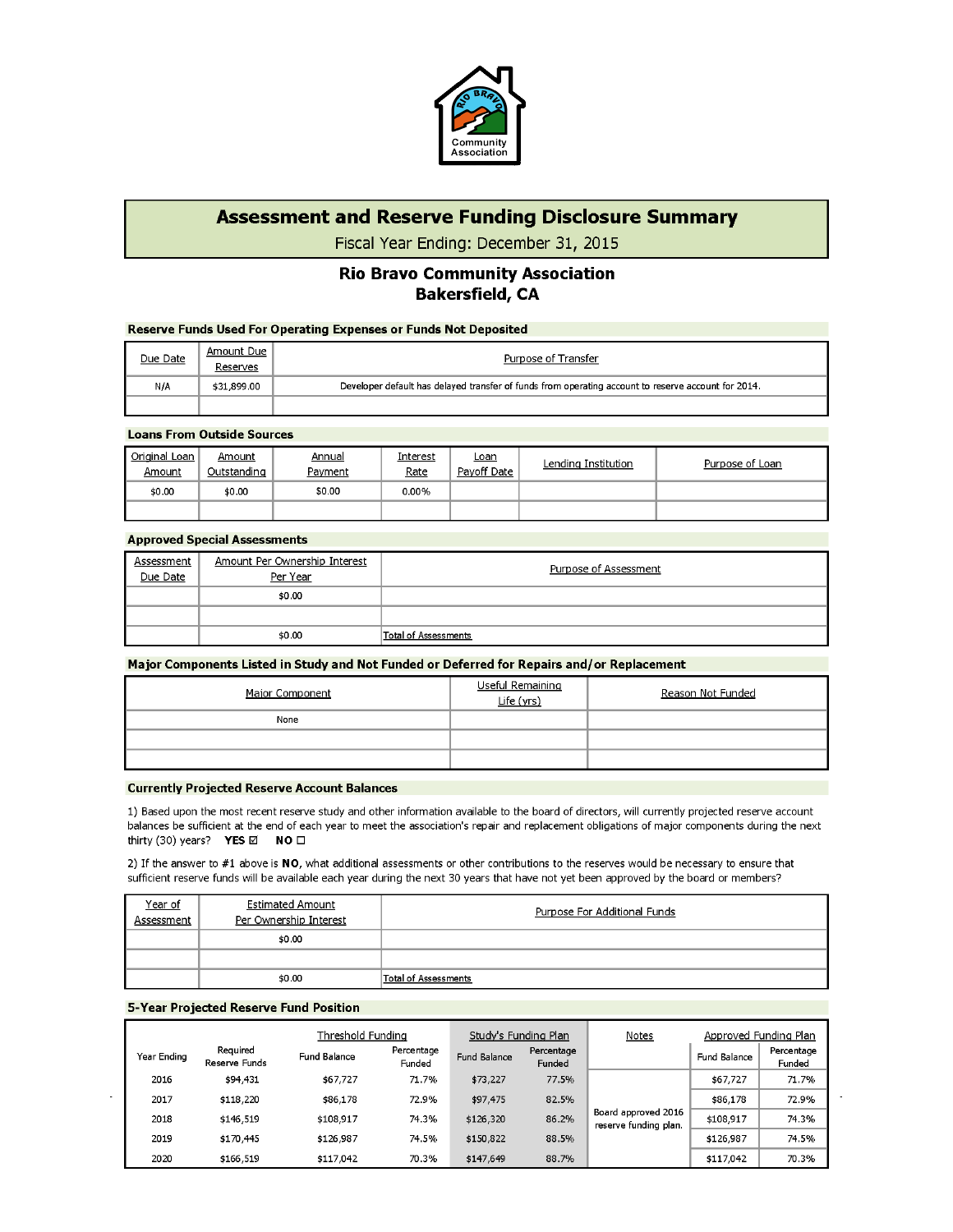

### **Assessment and Reserve Funding Disclosure Summary**

Fiscal Year Ending: December 31, 2015

#### **Rio Bravo Community Association Bakersfield, CA**

#### **Reserve Funds Used For Operating Expenses or Funds Not Deposited**

| Due Date | Amount Due<br>Reserves | Purpose of Transfer                                                                                 |
|----------|------------------------|-----------------------------------------------------------------------------------------------------|
| N/A      | \$31,899.00            | Developer default has delayed transfer of funds from operating account to reserve account for 2014. |
|          |                        |                                                                                                     |

#### **Loans From Outside Sources**

| Original<br>, Loan<br>Amount | Amount<br>Outstanding | <u>Annual</u><br>Payment | Interest<br>Rate | <u>Loan</u><br>Pavoff Date | Lending Institution | Purpose of Loan |
|------------------------------|-----------------------|--------------------------|------------------|----------------------------|---------------------|-----------------|
| \$0.00                       | \$0.00                | \$0.00                   | 0.00%            |                            |                     |                 |
|                              |                       |                          |                  |                            |                     |                 |

#### **Approved Special Assessments**

| Assessment<br>Due Date | Amount Per Ownership Interest<br>Per Year | Purpose of Assessment |
|------------------------|-------------------------------------------|-----------------------|
|                        | \$0.00                                    |                       |
|                        |                                           |                       |
|                        | \$0.00                                    | Total of Assessments  |

#### Major Components Listed in Study and Not Funded or Deferred for Repairs and/or Replacement

| Major Component | Useful Remaining<br>Life (yrs) | Reason Not Funded |  |
|-----------------|--------------------------------|-------------------|--|
| None            |                                |                   |  |
|                 |                                |                   |  |
|                 |                                |                   |  |
|                 |                                |                   |  |

#### **Currently Projected Reserve Account Balances**

1) Based upon the most recent reserve study and other information available to the board of directors, will currently projected reserve account balances be sufficient at the end of each year to meet the association's repair and replacement obligations of major components during the next thirty (30) years? YES  $\boxtimes$  NO  $\square$ 

2) If the answer to #1 above is NO, what additional assessments or other contributions to the reserves would be necessary to ensure that sufficient reserve funds will be available each year during the next 30 years that have not yet been approved by the board or members?

| <u>Year of</u><br>Assessment | <b>Estimated Amount</b><br>Per Ownership Interest | Purpose For Additional Funds |
|------------------------------|---------------------------------------------------|------------------------------|
|                              | \$0.00                                            |                              |
|                              |                                                   |                              |
|                              | \$0.00                                            | Total of Assessments         |

#### **5-Year Projected Reserve Fund Position**

|             | Threshold Funding         |              | Study's Funding Plan |              | Notes                | Approved Funding Plan                        |              |                      |
|-------------|---------------------------|--------------|----------------------|--------------|----------------------|----------------------------------------------|--------------|----------------------|
| Year Ending | Required<br>Reserve Funds | Fund Balance | Percentage<br>Funded | Fund Balance | Percentage<br>Funded |                                              | Fund Balance | Percentage<br>Funded |
| 2016        | \$94,431                  | \$67,727     | 71.7%                | \$73,227     | 77.5%                |                                              | \$67,727     | 71.7%                |
| 2017        | \$118,220                 | \$86,178     | 72.9%                | \$97,475     | 82.5%                | Board approved 2016<br>reserve funding plan. | \$86,178     | 72.9%                |
| 2018        | \$146,519                 | \$108,917    | 74.3%                | \$126,320    | 86.2%                |                                              | \$108,917    | 74.3%                |
| 2019        | \$170,445                 | \$126,987    | 74.5%                | \$150,822    | 88.5%                |                                              | \$126,987    | 74.5%                |
| 2020        | \$166,519                 | \$117,042    | 70.3%                | \$147,649    | 88.7%                |                                              | \$117,042    | 70.3%                |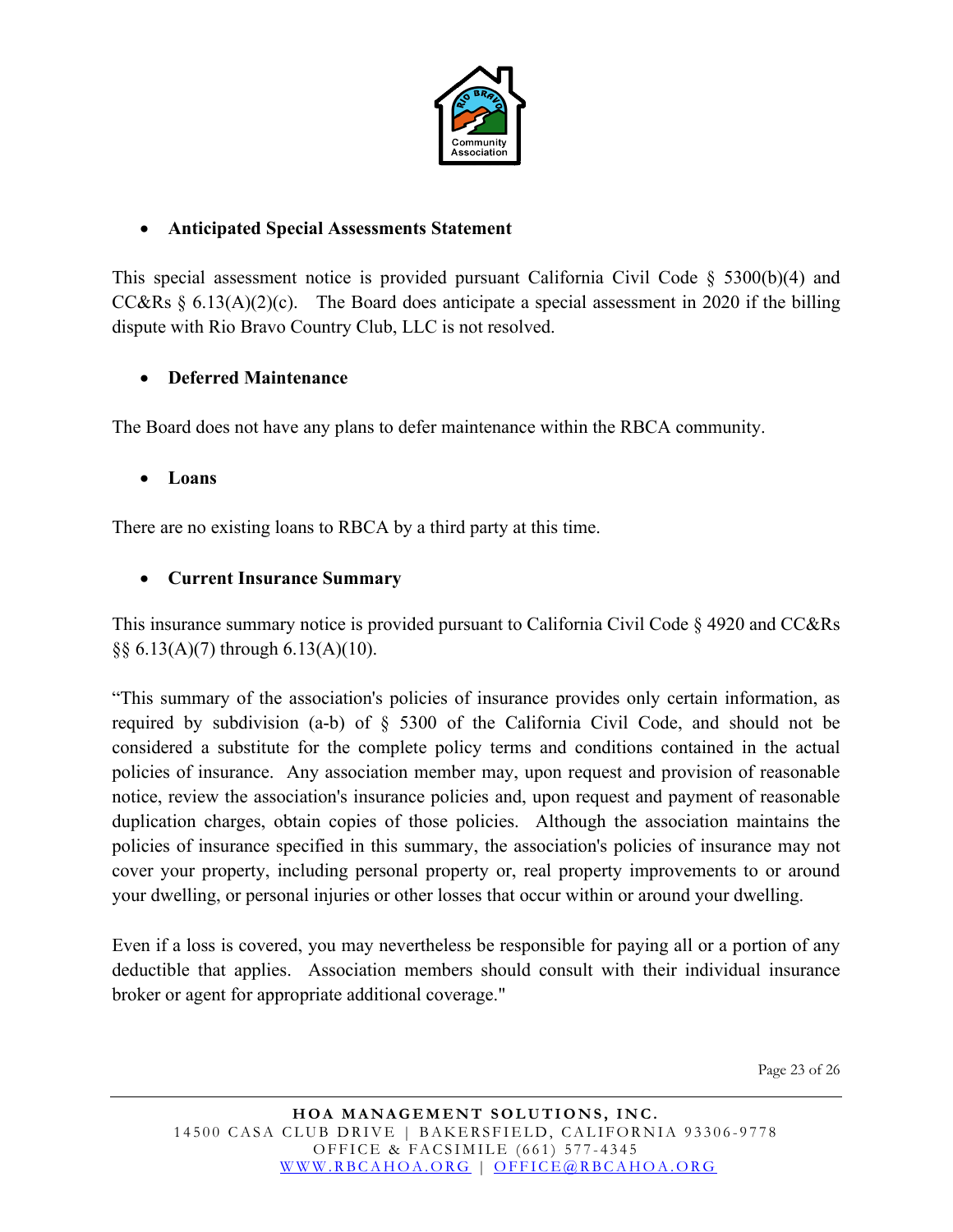

#### • **Anticipated Special Assessments Statement**

This special assessment notice is provided pursuant California Civil Code § 5300(b)(4) and CC&Rs  $\S$  6.13(A)(2)(c). The Board does anticipate a special assessment in 2020 if the billing dispute with Rio Bravo Country Club, LLC is not resolved.

#### • **Deferred Maintenance**

The Board does not have any plans to defer maintenance within the RBCA community.

#### • **Loans**

There are no existing loans to RBCA by a third party at this time.

#### • **Current Insurance Summary**

This insurance summary notice is provided pursuant to California Civil Code § 4920 and CC&Rs  $\S$ § 6.13(A)(7) through 6.13(A)(10).

"This summary of the association's policies of insurance provides only certain information, as required by subdivision (a-b) of § 5300 of the California Civil Code, and should not be considered a substitute for the complete policy terms and conditions contained in the actual policies of insurance. Any association member may, upon request and provision of reasonable notice, review the association's insurance policies and, upon request and payment of reasonable duplication charges, obtain copies of those policies. Although the association maintains the policies of insurance specified in this summary, the association's policies of insurance may not cover your property, including personal property or, real property improvements to or around your dwelling, or personal injuries or other losses that occur within or around your dwelling.

Even if a loss is covered, you may nevertheless be responsible for paying all or a portion of any deductible that applies. Association members should consult with their individual insurance broker or agent for appropriate additional coverage."

Page 23 of 26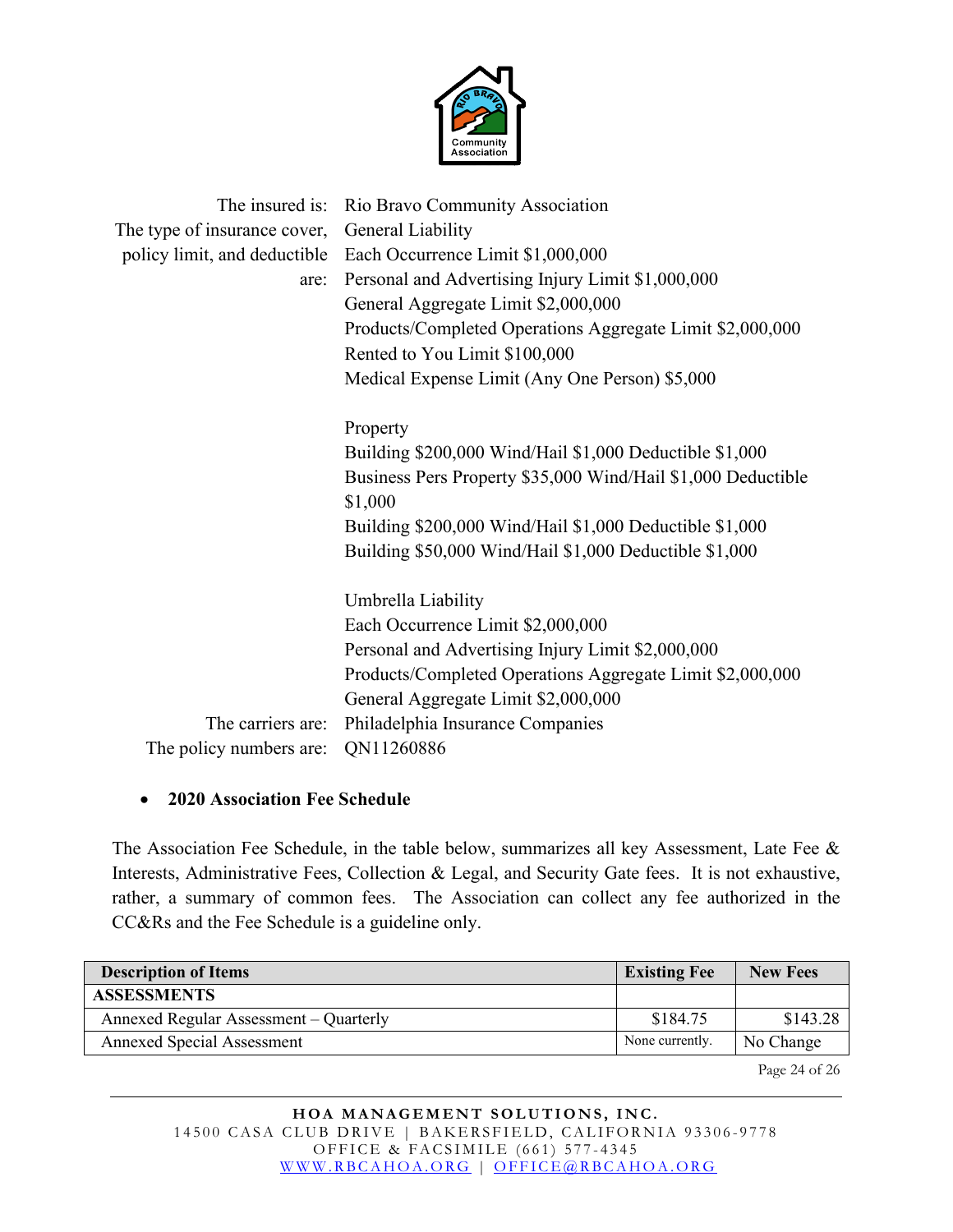

|                              | The insured is: Rio Bravo Community Association                |
|------------------------------|----------------------------------------------------------------|
| The type of insurance cover, | General Liability                                              |
|                              | policy limit, and deductible Each Occurrence Limit \$1,000,000 |
| are:                         | Personal and Advertising Injury Limit \$1,000,000              |
|                              | General Aggregate Limit \$2,000,000                            |
|                              | Products/Completed Operations Aggregate Limit \$2,000,000      |
|                              | Rented to You Limit \$100,000                                  |
|                              | Medical Expense Limit (Any One Person) \$5,000                 |
|                              |                                                                |
|                              | Property                                                       |
|                              | Building \$200,000 Wind/Hail \$1,000 Deductible \$1,000        |
|                              | Business Pers Property \$35,000 Wind/Hail \$1,000 Deductible   |
|                              | \$1,000                                                        |
|                              | Building \$200,000 Wind/Hail \$1,000 Deductible \$1,000        |
|                              | Building \$50,000 Wind/Hail \$1,000 Deductible \$1,000         |
|                              | Umbrella Liability                                             |
|                              | Each Occurrence Limit \$2,000,000                              |
|                              |                                                                |
|                              | Personal and Advertising Injury Limit \$2,000,000              |
|                              | Products/Completed Operations Aggregate Limit \$2,000,000      |
|                              | General Aggregate Limit \$2,000,000                            |
| The carriers are:            | Philadelphia Insurance Companies                               |
| The policy numbers are:      | QN11260886                                                     |

#### • **2020 Association Fee Schedule**

The Association Fee Schedule, in the table below, summarizes all key Assessment, Late Fee & Interests, Administrative Fees, Collection & Legal, and Security Gate fees. It is not exhaustive, rather, a summary of common fees. The Association can collect any fee authorized in the CC&Rs and the Fee Schedule is a guideline only.

| <b>Description of Items</b>            | <b>Existing Fee</b> | <b>New Fees</b> |
|----------------------------------------|---------------------|-----------------|
| <b>ASSESSMENTS</b>                     |                     |                 |
| Annexed Regular Assessment – Quarterly | \$184.75            | \$143.28        |
| <b>Annexed Special Assessment</b>      | None currently.     | No Change       |

Page 24 of 26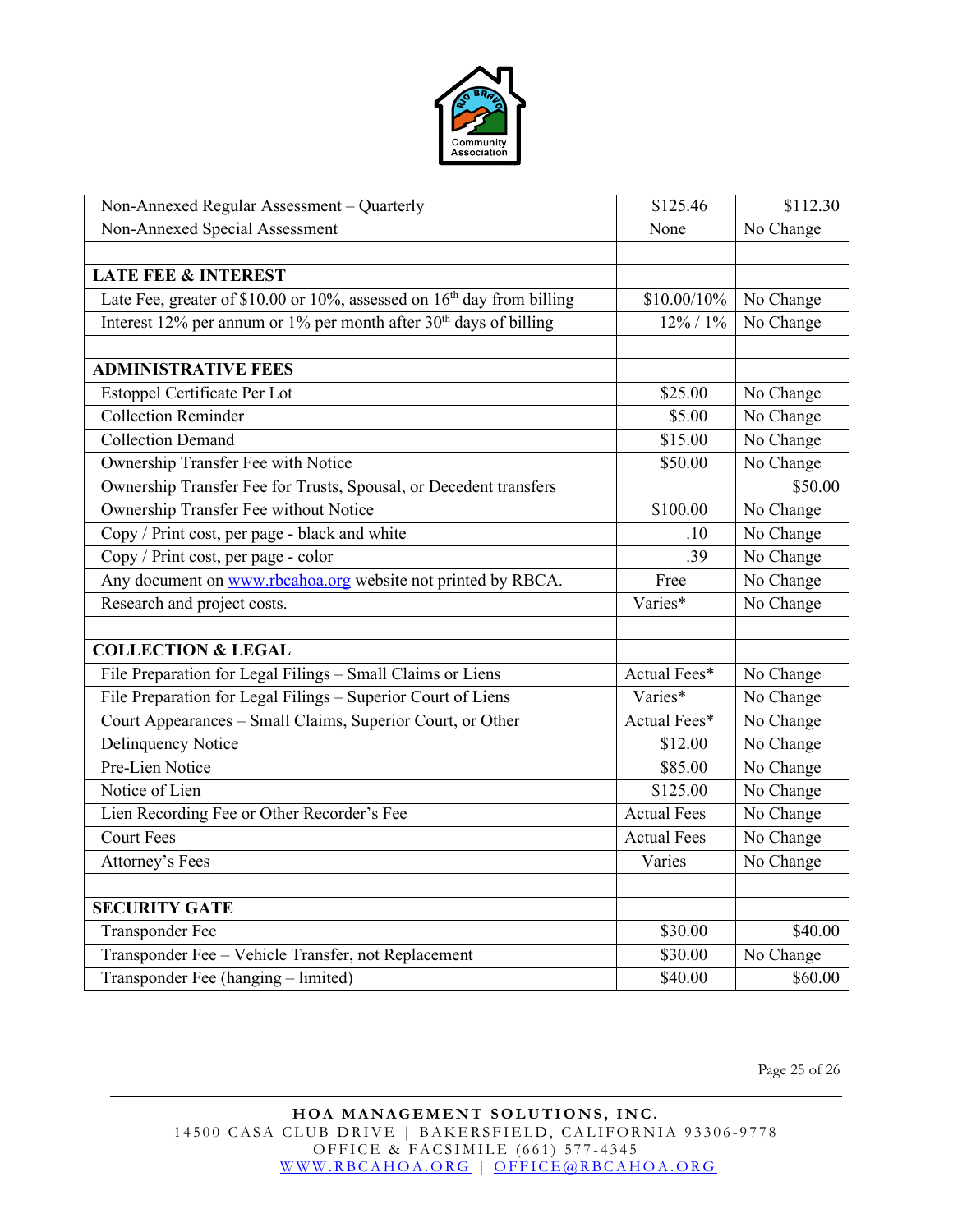

| Non-Annexed Regular Assessment - Quarterly                                         | \$125.46           | \$112.30  |
|------------------------------------------------------------------------------------|--------------------|-----------|
| Non-Annexed Special Assessment                                                     | None               | No Change |
|                                                                                    |                    |           |
| <b>LATE FEE &amp; INTEREST</b>                                                     |                    |           |
| Late Fee, greater of \$10.00 or 10%, assessed on 16 <sup>th</sup> day from billing | \$10.00/10%        | No Change |
| Interest 12% per annum or 1% per month after $30th$ days of billing                | 12% / 1%           | No Change |
|                                                                                    |                    |           |
| <b>ADMINISTRATIVE FEES</b>                                                         |                    |           |
| Estoppel Certificate Per Lot                                                       | \$25.00            | No Change |
| <b>Collection Reminder</b>                                                         | \$5.00             | No Change |
| <b>Collection Demand</b>                                                           | \$15.00            | No Change |
| Ownership Transfer Fee with Notice                                                 | \$50.00            | No Change |
| Ownership Transfer Fee for Trusts, Spousal, or Decedent transfers                  |                    | \$50.00   |
| Ownership Transfer Fee without Notice                                              | \$100.00           | No Change |
| Copy / Print cost, per page - black and white                                      | .10                | No Change |
| Copy / Print cost, per page - color                                                | .39                | No Change |
| Any document on www.rbcahoa.org website not printed by RBCA.                       | Free               | No Change |
| Research and project costs.                                                        | Varies*            | No Change |
|                                                                                    |                    |           |
| <b>COLLECTION &amp; LEGAL</b>                                                      |                    |           |
| File Preparation for Legal Filings - Small Claims or Liens                         | Actual Fees*       | No Change |
| File Preparation for Legal Filings - Superior Court of Liens                       | Varies*            | No Change |
| Court Appearances - Small Claims, Superior Court, or Other                         | Actual Fees*       | No Change |
| <b>Delinquency Notice</b>                                                          | \$12.00            | No Change |
| Pre-Lien Notice                                                                    | \$85.00            | No Change |
| Notice of Lien                                                                     | \$125.00           | No Change |
| Lien Recording Fee or Other Recorder's Fee                                         | <b>Actual Fees</b> | No Change |
| Court Fees                                                                         | <b>Actual Fees</b> | No Change |
| Attorney's Fees                                                                    | Varies             | No Change |
|                                                                                    |                    |           |
| <b>SECURITY GATE</b>                                                               |                    |           |
| <b>Transponder Fee</b>                                                             | \$30.00            | \$40.00   |
| Transponder Fee - Vehicle Transfer, not Replacement                                | \$30.00            | No Change |
| Transponder Fee (hanging - limited)                                                | \$40.00            | \$60.00   |

Page 25 of 26